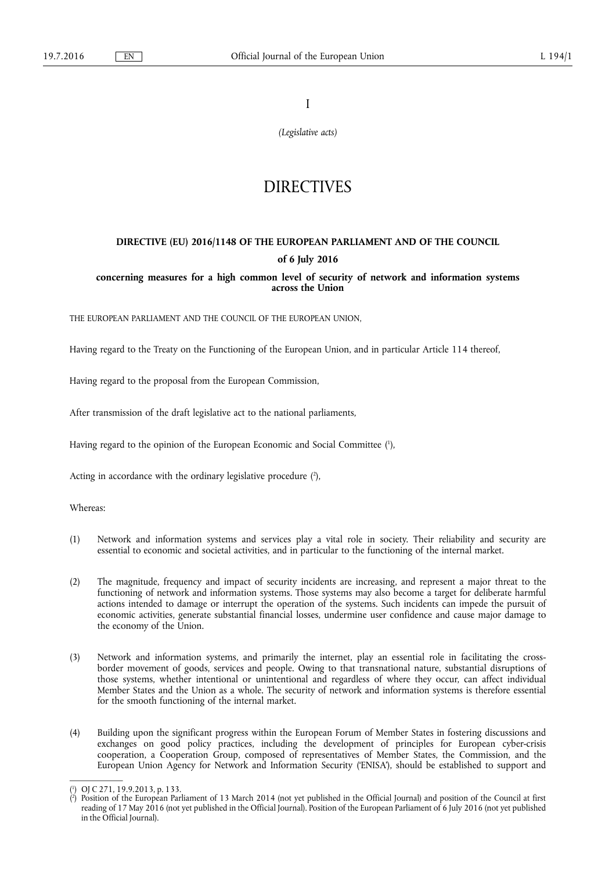I

*(Legislative acts)* 

# **DIRECTIVES**

# **DIRECTIVE (EU) 2016/1148 OF THE EUROPEAN PARLIAMENT AND OF THE COUNCIL of 6 July 2016**

**concerning measures for a high common level of security of network and information systems across the Union** 

THE EUROPEAN PARLIAMENT AND THE COUNCIL OF THE EUROPEAN UNION,

Having regard to the Treaty on the Functioning of the European Union, and in particular Article 114 thereof,

Having regard to the proposal from the European Commission,

After transmission of the draft legislative act to the national parliaments,

Having regard to the opinion of the European Economic and Social Committee ( 1 ),

Acting in accordance with the ordinary legislative procedure (2),

Whereas:

- (1) Network and information systems and services play a vital role in society. Their reliability and security are essential to economic and societal activities, and in particular to the functioning of the internal market.
- (2) The magnitude, frequency and impact of security incidents are increasing, and represent a major threat to the functioning of network and information systems. Those systems may also become a target for deliberate harmful actions intended to damage or interrupt the operation of the systems. Such incidents can impede the pursuit of economic activities, generate substantial financial losses, undermine user confidence and cause major damage to the economy of the Union.
- (3) Network and information systems, and primarily the internet, play an essential role in facilitating the crossborder movement of goods, services and people. Owing to that transnational nature, substantial disruptions of those systems, whether intentional or unintentional and regardless of where they occur, can affect individual Member States and the Union as a whole. The security of network and information systems is therefore essential for the smooth functioning of the internal market.
- (4) Building upon the significant progress within the European Forum of Member States in fostering discussions and exchanges on good policy practices, including the development of principles for European cyber-crisis cooperation, a Cooperation Group, composed of representatives of Member States, the Commission, and the European Union Agency for Network and Information Security ('ENISA'), should be established to support and

<sup>(</sup> 1 ) OJ C 271, 19.9.2013, p. 133.

<sup>(</sup> 2 ) Position of the European Parliament of 13 March 2014 (not yet published in the Official Journal) and position of the Council at first reading of 17 May 2016 (not yet published in the Official Journal). Position of the European Parliament of 6 July 2016 (not yet published in the Official Journal).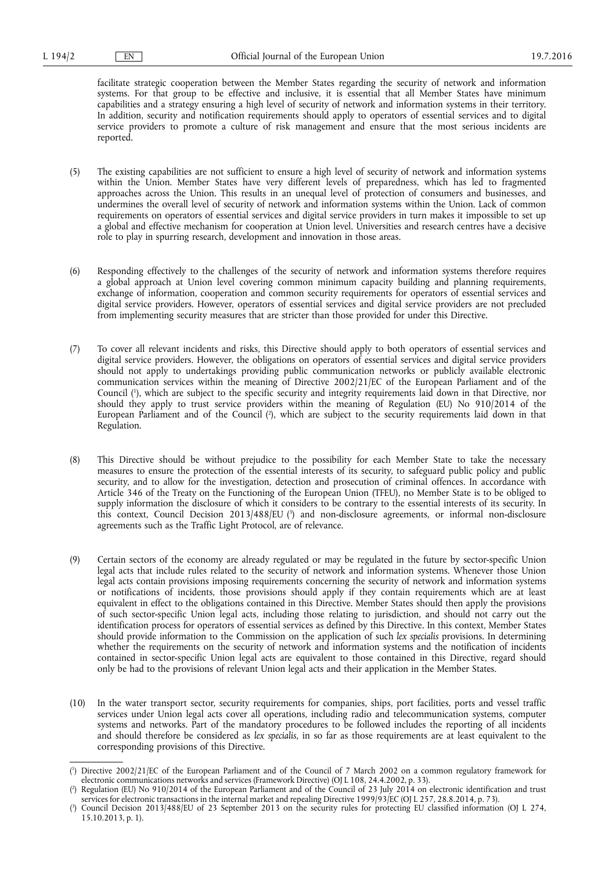facilitate strategic cooperation between the Member States regarding the security of network and information systems. For that group to be effective and inclusive, it is essential that all Member States have minimum capabilities and a strategy ensuring a high level of security of network and information systems in their territory. In addition, security and notification requirements should apply to operators of essential services and to digital service providers to promote a culture of risk management and ensure that the most serious incidents are reported.

- (5) The existing capabilities are not sufficient to ensure a high level of security of network and information systems within the Union. Member States have very different levels of preparedness, which has led to fragmented approaches across the Union. This results in an unequal level of protection of consumers and businesses, and undermines the overall level of security of network and information systems within the Union. Lack of common requirements on operators of essential services and digital service providers in turn makes it impossible to set up a global and effective mechanism for cooperation at Union level. Universities and research centres have a decisive role to play in spurring research, development and innovation in those areas.
- (6) Responding effectively to the challenges of the security of network and information systems therefore requires a global approach at Union level covering common minimum capacity building and planning requirements, exchange of information, cooperation and common security requirements for operators of essential services and digital service providers. However, operators of essential services and digital service providers are not precluded from implementing security measures that are stricter than those provided for under this Directive.
- (7) To cover all relevant incidents and risks, this Directive should apply to both operators of essential services and digital service providers. However, the obligations on operators of essential services and digital service providers should not apply to undertakings providing public communication networks or publicly available electronic communication services within the meaning of Directive 2002/21/EC of the European Parliament and of the Council ( 1 ), which are subject to the specific security and integrity requirements laid down in that Directive, nor should they apply to trust service providers within the meaning of Regulation (EU) No 910/2014 of the European Parliament and of the Council ( 2 ), which are subject to the security requirements laid down in that Regulation.
- (8) This Directive should be without prejudice to the possibility for each Member State to take the necessary measures to ensure the protection of the essential interests of its security, to safeguard public policy and public security, and to allow for the investigation, detection and prosecution of criminal offences. In accordance with Article 346 of the Treaty on the Functioning of the European Union (TFEU), no Member State is to be obliged to supply information the disclosure of which it considers to be contrary to the essential interests of its security. In this context, Council Decision 2013/488/EU ( 3 ) and non-disclosure agreements, or informal non-disclosure agreements such as the Traffic Light Protocol, are of relevance.
- (9) Certain sectors of the economy are already regulated or may be regulated in the future by sector-specific Union legal acts that include rules related to the security of network and information systems. Whenever those Union legal acts contain provisions imposing requirements concerning the security of network and information systems or notifications of incidents, those provisions should apply if they contain requirements which are at least equivalent in effect to the obligations contained in this Directive. Member States should then apply the provisions of such sector-specific Union legal acts, including those relating to jurisdiction, and should not carry out the identification process for operators of essential services as defined by this Directive. In this context, Member States should provide information to the Commission on the application of such *lex specialis* provisions. In determining whether the requirements on the security of network and information systems and the notification of incidents contained in sector-specific Union legal acts are equivalent to those contained in this Directive, regard should only be had to the provisions of relevant Union legal acts and their application in the Member States.
- (10) In the water transport sector, security requirements for companies, ships, port facilities, ports and vessel traffic services under Union legal acts cover all operations, including radio and telecommunication systems, computer systems and networks. Part of the mandatory procedures to be followed includes the reporting of all incidents and should therefore be considered as *lex specialis*, in so far as those requirements are at least equivalent to the corresponding provisions of this Directive.

<sup>(</sup> 1 ) Directive 2002/21/EC of the European Parliament and of the Council of 7 March 2002 on a common regulatory framework for electronic communications networks and services (Framework Directive) (OJ L 108, 24.4.2002, p. 33).

<sup>(</sup> 2 ) Regulation (EU) No 910/2014 of the European Parliament and of the Council of 23 July 2014 on electronic identification and trust services for electronic transactions in the internal market and repealing Directive 1999/93/EC (OJ L 257, 28.8.2014, p. 73).

<sup>(</sup> 3 ) Council Decision 2013/488/EU of 23 September 2013 on the security rules for protecting EU classified information (OJ L 274, 15.10.2013, p. 1).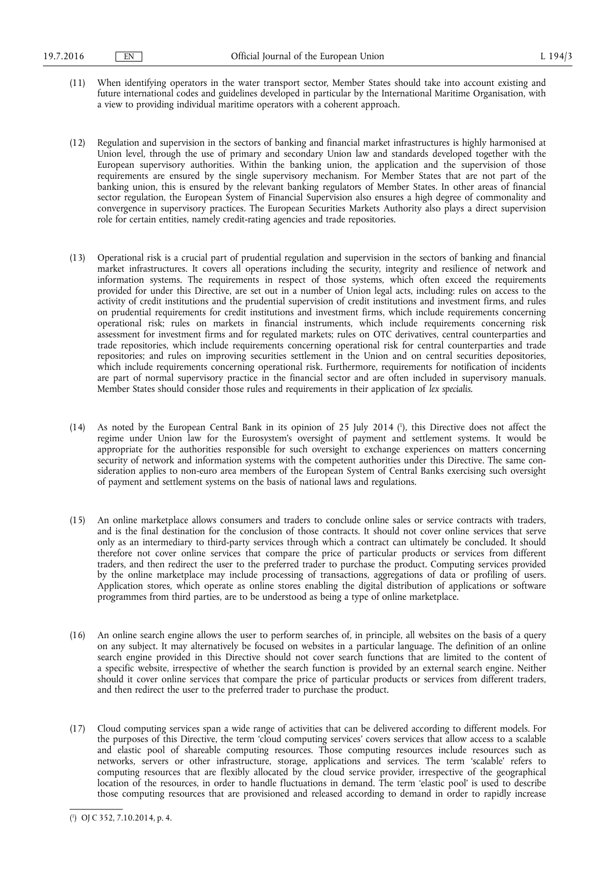- (11) When identifying operators in the water transport sector, Member States should take into account existing and future international codes and guidelines developed in particular by the International Maritime Organisation, with a view to providing individual maritime operators with a coherent approach.
- (12) Regulation and supervision in the sectors of banking and financial market infrastructures is highly harmonised at Union level, through the use of primary and secondary Union law and standards developed together with the European supervisory authorities. Within the banking union, the application and the supervision of those requirements are ensured by the single supervisory mechanism. For Member States that are not part of the banking union, this is ensured by the relevant banking regulators of Member States. In other areas of financial sector regulation, the European System of Financial Supervision also ensures a high degree of commonality and convergence in supervisory practices. The European Securities Markets Authority also plays a direct supervision role for certain entities, namely credit-rating agencies and trade repositories.
- (13) Operational risk is a crucial part of prudential regulation and supervision in the sectors of banking and financial market infrastructures. It covers all operations including the security, integrity and resilience of network and information systems. The requirements in respect of those systems, which often exceed the requirements provided for under this Directive, are set out in a number of Union legal acts, including: rules on access to the activity of credit institutions and the prudential supervision of credit institutions and investment firms, and rules on prudential requirements for credit institutions and investment firms, which include requirements concerning operational risk; rules on markets in financial instruments, which include requirements concerning risk assessment for investment firms and for regulated markets; rules on OTC derivatives, central counterparties and trade repositories, which include requirements concerning operational risk for central counterparties and trade repositories; and rules on improving securities settlement in the Union and on central securities depositories, which include requirements concerning operational risk. Furthermore, requirements for notification of incidents are part of normal supervisory practice in the financial sector and are often included in supervisory manuals. Member States should consider those rules and requirements in their application of *lex specialis*.
- (14) As noted by the European Central Bank in its opinion of 25 July 2014 ( 1 ), this Directive does not affect the regime under Union law for the Eurosystem's oversight of payment and settlement systems. It would be appropriate for the authorities responsible for such oversight to exchange experiences on matters concerning security of network and information systems with the competent authorities under this Directive. The same consideration applies to non-euro area members of the European System of Central Banks exercising such oversight of payment and settlement systems on the basis of national laws and regulations.
- (15) An online marketplace allows consumers and traders to conclude online sales or service contracts with traders, and is the final destination for the conclusion of those contracts. It should not cover online services that serve only as an intermediary to third-party services through which a contract can ultimately be concluded. It should therefore not cover online services that compare the price of particular products or services from different traders, and then redirect the user to the preferred trader to purchase the product. Computing services provided by the online marketplace may include processing of transactions, aggregations of data or profiling of users. Application stores, which operate as online stores enabling the digital distribution of applications or software programmes from third parties, are to be understood as being a type of online marketplace.
- (16) An online search engine allows the user to perform searches of, in principle, all websites on the basis of a query on any subject. It may alternatively be focused on websites in a particular language. The definition of an online search engine provided in this Directive should not cover search functions that are limited to the content of a specific website, irrespective of whether the search function is provided by an external search engine. Neither should it cover online services that compare the price of particular products or services from different traders, and then redirect the user to the preferred trader to purchase the product.
- (17) Cloud computing services span a wide range of activities that can be delivered according to different models. For the purposes of this Directive, the term 'cloud computing services' covers services that allow access to a scalable and elastic pool of shareable computing resources. Those computing resources include resources such as networks, servers or other infrastructure, storage, applications and services. The term 'scalable' refers to computing resources that are flexibly allocated by the cloud service provider, irrespective of the geographical location of the resources, in order to handle fluctuations in demand. The term 'elastic pool' is used to describe those computing resources that are provisioned and released according to demand in order to rapidly increase

<sup>(</sup> 1 ) OJ C 352, 7.10.2014, p. 4.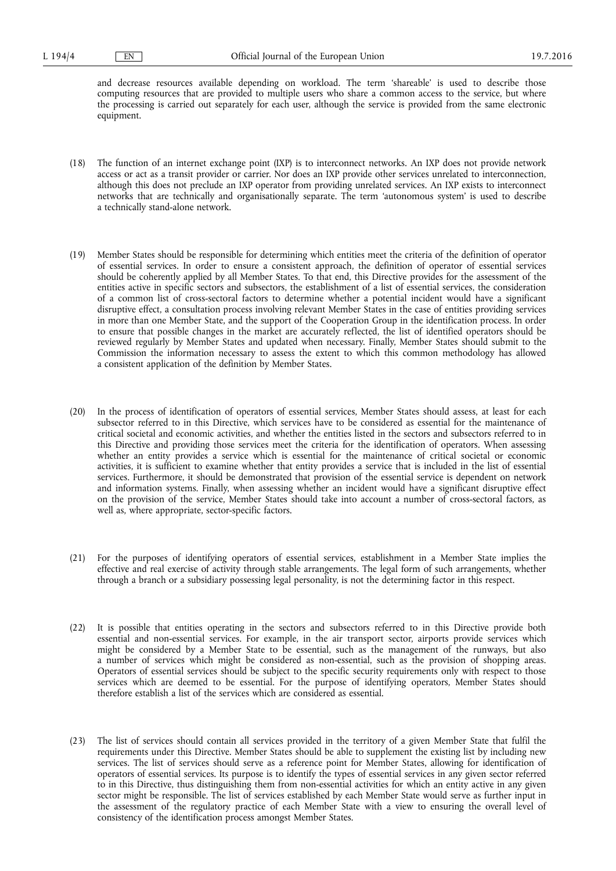and decrease resources available depending on workload. The term 'shareable' is used to describe those computing resources that are provided to multiple users who share a common access to the service, but where the processing is carried out separately for each user, although the service is provided from the same electronic equipment.

- (18) The function of an internet exchange point (IXP) is to interconnect networks. An IXP does not provide network access or act as a transit provider or carrier. Nor does an IXP provide other services unrelated to interconnection, although this does not preclude an IXP operator from providing unrelated services. An IXP exists to interconnect networks that are technically and organisationally separate. The term 'autonomous system' is used to describe a technically stand-alone network.
- (19) Member States should be responsible for determining which entities meet the criteria of the definition of operator of essential services. In order to ensure a consistent approach, the definition of operator of essential services should be coherently applied by all Member States. To that end, this Directive provides for the assessment of the entities active in specific sectors and subsectors, the establishment of a list of essential services, the consideration of a common list of cross-sectoral factors to determine whether a potential incident would have a significant disruptive effect, a consultation process involving relevant Member States in the case of entities providing services in more than one Member State, and the support of the Cooperation Group in the identification process. In order to ensure that possible changes in the market are accurately reflected, the list of identified operators should be reviewed regularly by Member States and updated when necessary. Finally, Member States should submit to the Commission the information necessary to assess the extent to which this common methodology has allowed a consistent application of the definition by Member States.
- (20) In the process of identification of operators of essential services, Member States should assess, at least for each subsector referred to in this Directive, which services have to be considered as essential for the maintenance of critical societal and economic activities, and whether the entities listed in the sectors and subsectors referred to in this Directive and providing those services meet the criteria for the identification of operators. When assessing whether an entity provides a service which is essential for the maintenance of critical societal or economic activities, it is sufficient to examine whether that entity provides a service that is included in the list of essential services. Furthermore, it should be demonstrated that provision of the essential service is dependent on network and information systems. Finally, when assessing whether an incident would have a significant disruptive effect on the provision of the service, Member States should take into account a number of cross-sectoral factors, as well as, where appropriate, sector-specific factors.
- (21) For the purposes of identifying operators of essential services, establishment in a Member State implies the effective and real exercise of activity through stable arrangements. The legal form of such arrangements, whether through a branch or a subsidiary possessing legal personality, is not the determining factor in this respect.
- (22) It is possible that entities operating in the sectors and subsectors referred to in this Directive provide both essential and non-essential services. For example, in the air transport sector, airports provide services which might be considered by a Member State to be essential, such as the management of the runways, but also a number of services which might be considered as non-essential, such as the provision of shopping areas. Operators of essential services should be subject to the specific security requirements only with respect to those services which are deemed to be essential. For the purpose of identifying operators, Member States should therefore establish a list of the services which are considered as essential.
- (23) The list of services should contain all services provided in the territory of a given Member State that fulfil the requirements under this Directive. Member States should be able to supplement the existing list by including new services. The list of services should serve as a reference point for Member States, allowing for identification of operators of essential services. Its purpose is to identify the types of essential services in any given sector referred to in this Directive, thus distinguishing them from non-essential activities for which an entity active in any given sector might be responsible. The list of services established by each Member State would serve as further input in the assessment of the regulatory practice of each Member State with a view to ensuring the overall level of consistency of the identification process amongst Member States.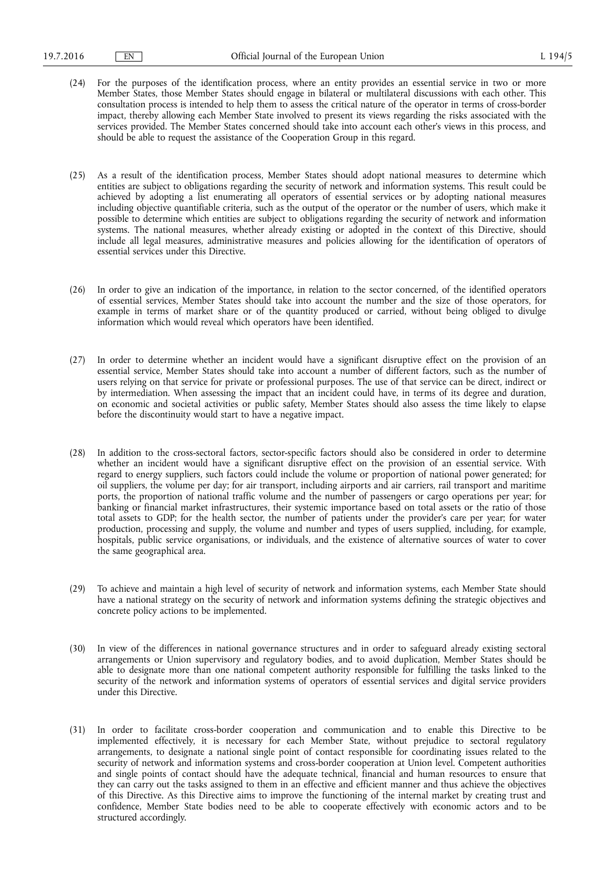- (24) For the purposes of the identification process, where an entity provides an essential service in two or more Member States, those Member States should engage in bilateral or multilateral discussions with each other. This consultation process is intended to help them to assess the critical nature of the operator in terms of cross-border impact, thereby allowing each Member State involved to present its views regarding the risks associated with the services provided. The Member States concerned should take into account each other's views in this process, and should be able to request the assistance of the Cooperation Group in this regard.
- (25) As a result of the identification process, Member States should adopt national measures to determine which entities are subject to obligations regarding the security of network and information systems. This result could be achieved by adopting a list enumerating all operators of essential services or by adopting national measures including objective quantifiable criteria, such as the output of the operator or the number of users, which make it possible to determine which entities are subject to obligations regarding the security of network and information systems. The national measures, whether already existing or adopted in the context of this Directive, should include all legal measures, administrative measures and policies allowing for the identification of operators of essential services under this Directive.
- (26) In order to give an indication of the importance, in relation to the sector concerned, of the identified operators of essential services, Member States should take into account the number and the size of those operators, for example in terms of market share or of the quantity produced or carried, without being obliged to divulge information which would reveal which operators have been identified.
- (27) In order to determine whether an incident would have a significant disruptive effect on the provision of an essential service, Member States should take into account a number of different factors, such as the number of users relying on that service for private or professional purposes. The use of that service can be direct, indirect or by intermediation. When assessing the impact that an incident could have, in terms of its degree and duration, on economic and societal activities or public safety, Member States should also assess the time likely to elapse before the discontinuity would start to have a negative impact.
- (28) In addition to the cross-sectoral factors, sector-specific factors should also be considered in order to determine whether an incident would have a significant disruptive effect on the provision of an essential service. With regard to energy suppliers, such factors could include the volume or proportion of national power generated; for oil suppliers, the volume per day; for air transport, including airports and air carriers, rail transport and maritime ports, the proportion of national traffic volume and the number of passengers or cargo operations per year; for banking or financial market infrastructures, their systemic importance based on total assets or the ratio of those total assets to GDP; for the health sector, the number of patients under the provider's care per year; for water production, processing and supply, the volume and number and types of users supplied, including, for example, hospitals, public service organisations, or individuals, and the existence of alternative sources of water to cover the same geographical area.
- (29) To achieve and maintain a high level of security of network and information systems, each Member State should have a national strategy on the security of network and information systems defining the strategic objectives and concrete policy actions to be implemented.
- (30) In view of the differences in national governance structures and in order to safeguard already existing sectoral arrangements or Union supervisory and regulatory bodies, and to avoid duplication, Member States should be able to designate more than one national competent authority responsible for fulfilling the tasks linked to the security of the network and information systems of operators of essential services and digital service providers under this Directive.
- (31) In order to facilitate cross-border cooperation and communication and to enable this Directive to be implemented effectively, it is necessary for each Member State, without prejudice to sectoral regulatory arrangements, to designate a national single point of contact responsible for coordinating issues related to the security of network and information systems and cross-border cooperation at Union level. Competent authorities and single points of contact should have the adequate technical, financial and human resources to ensure that they can carry out the tasks assigned to them in an effective and efficient manner and thus achieve the objectives of this Directive. As this Directive aims to improve the functioning of the internal market by creating trust and confidence, Member State bodies need to be able to cooperate effectively with economic actors and to be structured accordingly.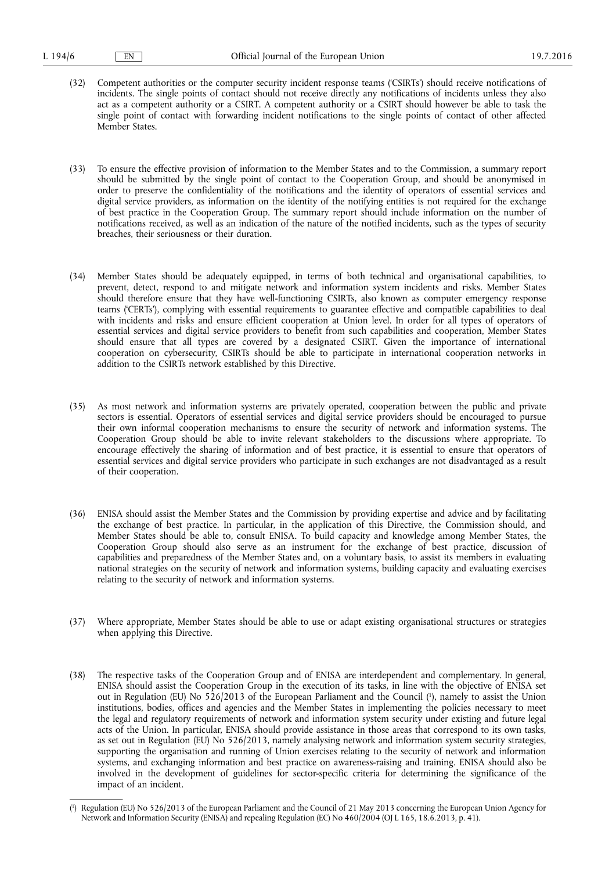(32) Competent authorities or the computer security incident response teams ('CSIRTs') should receive notifications of incidents. The single points of contact should not receive directly any notifications of incidents unless they also act as a competent authority or a CSIRT. A competent authority or a CSIRT should however be able to task the single point of contact with forwarding incident notifications to the single points of contact of other affected Member States.

(33) To ensure the effective provision of information to the Member States and to the Commission, a summary report should be submitted by the single point of contact to the Cooperation Group, and should be anonymised in order to preserve the confidentiality of the notifications and the identity of operators of essential services and digital service providers, as information on the identity of the notifying entities is not required for the exchange of best practice in the Cooperation Group. The summary report should include information on the number of notifications received, as well as an indication of the nature of the notified incidents, such as the types of security breaches, their seriousness or their duration.

- (34) Member States should be adequately equipped, in terms of both technical and organisational capabilities, to prevent, detect, respond to and mitigate network and information system incidents and risks. Member States should therefore ensure that they have well-functioning CSIRTs, also known as computer emergency response teams ('CERTs'), complying with essential requirements to guarantee effective and compatible capabilities to deal with incidents and risks and ensure efficient cooperation at Union level. In order for all types of operators of essential services and digital service providers to benefit from such capabilities and cooperation, Member States should ensure that all types are covered by a designated CSIRT. Given the importance of international cooperation on cybersecurity, CSIRTs should be able to participate in international cooperation networks in addition to the CSIRTs network established by this Directive.
- (35) As most network and information systems are privately operated, cooperation between the public and private sectors is essential. Operators of essential services and digital service providers should be encouraged to pursue their own informal cooperation mechanisms to ensure the security of network and information systems. The Cooperation Group should be able to invite relevant stakeholders to the discussions where appropriate. To encourage effectively the sharing of information and of best practice, it is essential to ensure that operators of essential services and digital service providers who participate in such exchanges are not disadvantaged as a result of their cooperation.
- (36) ENISA should assist the Member States and the Commission by providing expertise and advice and by facilitating the exchange of best practice. In particular, in the application of this Directive, the Commission should, and Member States should be able to, consult ENISA. To build capacity and knowledge among Member States, the Cooperation Group should also serve as an instrument for the exchange of best practice, discussion of capabilities and preparedness of the Member States and, on a voluntary basis, to assist its members in evaluating national strategies on the security of network and information systems, building capacity and evaluating exercises relating to the security of network and information systems.
- (37) Where appropriate, Member States should be able to use or adapt existing organisational structures or strategies when applying this Directive.
- (38) The respective tasks of the Cooperation Group and of ENISA are interdependent and complementary. In general, ENISA should assist the Cooperation Group in the execution of its tasks, in line with the objective of ENISA set out in Regulation (EU) No 526/2013 of the European Parliament and the Council ( 1 ), namely to assist the Union institutions, bodies, offices and agencies and the Member States in implementing the policies necessary to meet the legal and regulatory requirements of network and information system security under existing and future legal acts of the Union. In particular, ENISA should provide assistance in those areas that correspond to its own tasks, as set out in Regulation (EU) No 526/2013, namely analysing network and information system security strategies, supporting the organisation and running of Union exercises relating to the security of network and information systems, and exchanging information and best practice on awareness-raising and training. ENISA should also be involved in the development of guidelines for sector-specific criteria for determining the significance of the impact of an incident.

<sup>(</sup> 1 ) Regulation (EU) No 526/2013 of the European Parliament and the Council of 21 May 2013 concerning the European Union Agency for Network and Information Security (ENISA) and repealing Regulation (EC) No 460/2004 (OJ L 165, 18.6.2013, p. 41).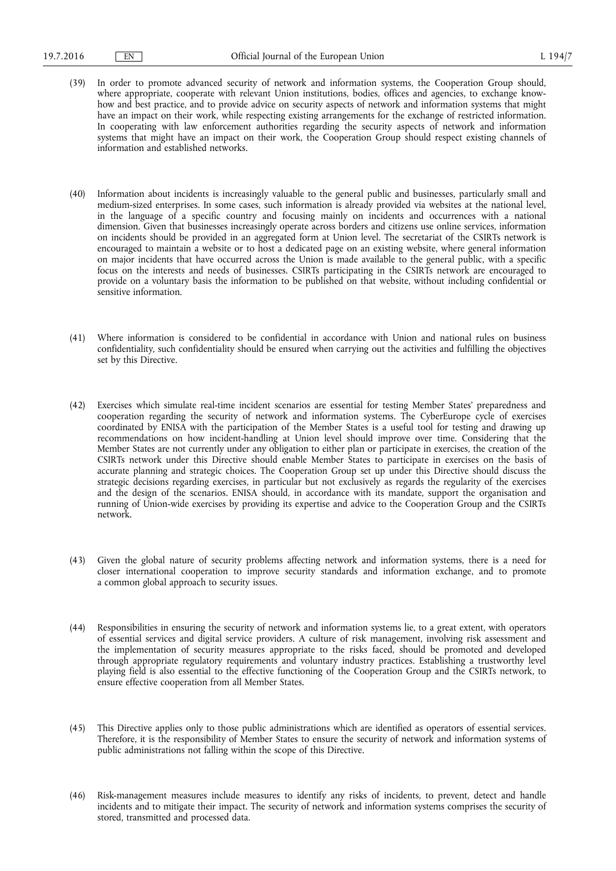- (39) In order to promote advanced security of network and information systems, the Cooperation Group should, where appropriate, cooperate with relevant Union institutions, bodies, offices and agencies, to exchange knowhow and best practice, and to provide advice on security aspects of network and information systems that might have an impact on their work, while respecting existing arrangements for the exchange of restricted information. In cooperating with law enforcement authorities regarding the security aspects of network and information systems that might have an impact on their work, the Cooperation Group should respect existing channels of information and established networks.
- (40) Information about incidents is increasingly valuable to the general public and businesses, particularly small and medium-sized enterprises. In some cases, such information is already provided via websites at the national level, in the language of a specific country and focusing mainly on incidents and occurrences with a national dimension. Given that businesses increasingly operate across borders and citizens use online services, information on incidents should be provided in an aggregated form at Union level. The secretariat of the CSIRTs network is encouraged to maintain a website or to host a dedicated page on an existing website, where general information on major incidents that have occurred across the Union is made available to the general public, with a specific focus on the interests and needs of businesses. CSIRTs participating in the CSIRTs network are encouraged to provide on a voluntary basis the information to be published on that website, without including confidential or sensitive information.
- (41) Where information is considered to be confidential in accordance with Union and national rules on business confidentiality, such confidentiality should be ensured when carrying out the activities and fulfilling the objectives set by this Directive.
- (42) Exercises which simulate real-time incident scenarios are essential for testing Member States' preparedness and cooperation regarding the security of network and information systems. The CyberEurope cycle of exercises coordinated by ENISA with the participation of the Member States is a useful tool for testing and drawing up recommendations on how incident-handling at Union level should improve over time. Considering that the Member States are not currently under any obligation to either plan or participate in exercises, the creation of the CSIRTs network under this Directive should enable Member States to participate in exercises on the basis of accurate planning and strategic choices. The Cooperation Group set up under this Directive should discuss the strategic decisions regarding exercises, in particular but not exclusively as regards the regularity of the exercises and the design of the scenarios. ENISA should, in accordance with its mandate, support the organisation and running of Union-wide exercises by providing its expertise and advice to the Cooperation Group and the CSIRTs network.
- (43) Given the global nature of security problems affecting network and information systems, there is a need for closer international cooperation to improve security standards and information exchange, and to promote a common global approach to security issues.
- (44) Responsibilities in ensuring the security of network and information systems lie, to a great extent, with operators of essential services and digital service providers. A culture of risk management, involving risk assessment and the implementation of security measures appropriate to the risks faced, should be promoted and developed through appropriate regulatory requirements and voluntary industry practices. Establishing a trustworthy level playing field is also essential to the effective functioning of the Cooperation Group and the CSIRTs network, to ensure effective cooperation from all Member States.
- (45) This Directive applies only to those public administrations which are identified as operators of essential services. Therefore, it is the responsibility of Member States to ensure the security of network and information systems of public administrations not falling within the scope of this Directive.
- (46) Risk-management measures include measures to identify any risks of incidents, to prevent, detect and handle incidents and to mitigate their impact. The security of network and information systems comprises the security of stored, transmitted and processed data.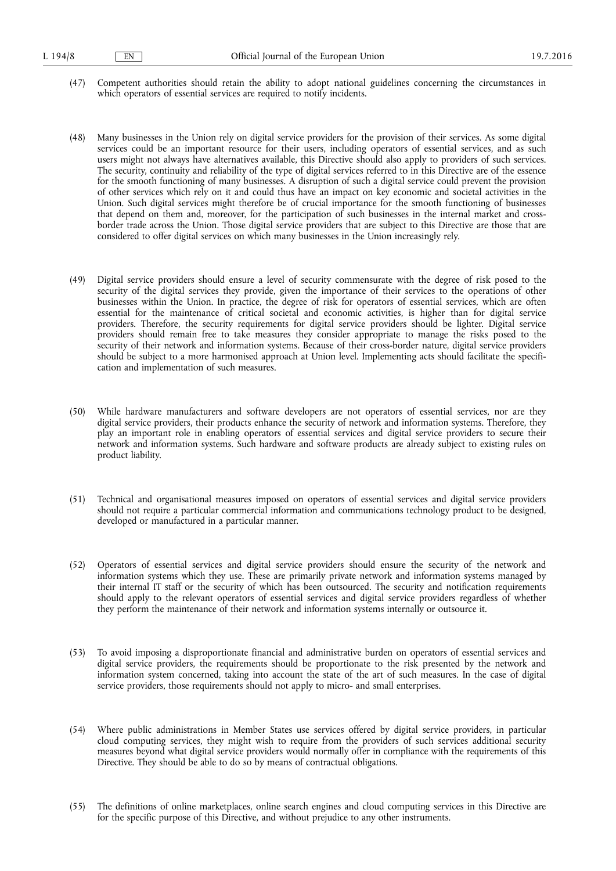- (47) Competent authorities should retain the ability to adopt national guidelines concerning the circumstances in which operators of essential services are required to notify incidents.
- (48) Many businesses in the Union rely on digital service providers for the provision of their services. As some digital services could be an important resource for their users, including operators of essential services, and as such users might not always have alternatives available, this Directive should also apply to providers of such services. The security, continuity and reliability of the type of digital services referred to in this Directive are of the essence for the smooth functioning of many businesses. A disruption of such a digital service could prevent the provision of other services which rely on it and could thus have an impact on key economic and societal activities in the Union. Such digital services might therefore be of crucial importance for the smooth functioning of businesses that depend on them and, moreover, for the participation of such businesses in the internal market and crossborder trade across the Union. Those digital service providers that are subject to this Directive are those that are considered to offer digital services on which many businesses in the Union increasingly rely.
- (49) Digital service providers should ensure a level of security commensurate with the degree of risk posed to the security of the digital services they provide, given the importance of their services to the operations of other businesses within the Union. In practice, the degree of risk for operators of essential services, which are often essential for the maintenance of critical societal and economic activities, is higher than for digital service providers. Therefore, the security requirements for digital service providers should be lighter. Digital service providers should remain free to take measures they consider appropriate to manage the risks posed to the security of their network and information systems. Because of their cross-border nature, digital service providers should be subject to a more harmonised approach at Union level. Implementing acts should facilitate the specification and implementation of such measures.
- (50) While hardware manufacturers and software developers are not operators of essential services, nor are they digital service providers, their products enhance the security of network and information systems. Therefore, they play an important role in enabling operators of essential services and digital service providers to secure their network and information systems. Such hardware and software products are already subject to existing rules on product liability.
- (51) Technical and organisational measures imposed on operators of essential services and digital service providers should not require a particular commercial information and communications technology product to be designed, developed or manufactured in a particular manner.
- (52) Operators of essential services and digital service providers should ensure the security of the network and information systems which they use. These are primarily private network and information systems managed by their internal IT staff or the security of which has been outsourced. The security and notification requirements should apply to the relevant operators of essential services and digital service providers regardless of whether they perform the maintenance of their network and information systems internally or outsource it.
- (53) To avoid imposing a disproportionate financial and administrative burden on operators of essential services and digital service providers, the requirements should be proportionate to the risk presented by the network and information system concerned, taking into account the state of the art of such measures. In the case of digital service providers, those requirements should not apply to micro- and small enterprises.
- (54) Where public administrations in Member States use services offered by digital service providers, in particular cloud computing services, they might wish to require from the providers of such services additional security measures beyond what digital service providers would normally offer in compliance with the requirements of this Directive. They should be able to do so by means of contractual obligations.
- (55) The definitions of online marketplaces, online search engines and cloud computing services in this Directive are for the specific purpose of this Directive, and without prejudice to any other instruments.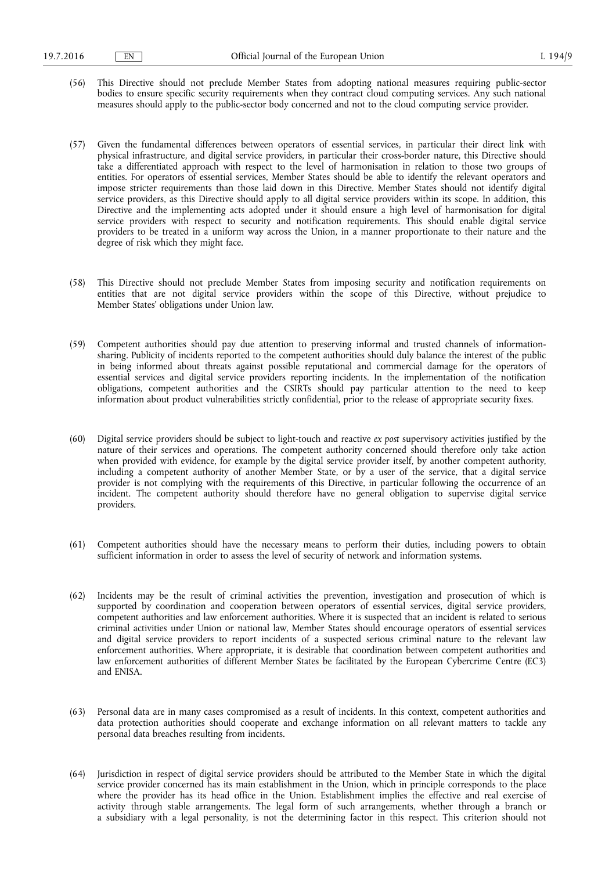- (56) This Directive should not preclude Member States from adopting national measures requiring public-sector bodies to ensure specific security requirements when they contract cloud computing services. Any such national measures should apply to the public-sector body concerned and not to the cloud computing service provider.
- (57) Given the fundamental differences between operators of essential services, in particular their direct link with physical infrastructure, and digital service providers, in particular their cross-border nature, this Directive should take a differentiated approach with respect to the level of harmonisation in relation to those two groups of entities. For operators of essential services, Member States should be able to identify the relevant operators and impose stricter requirements than those laid down in this Directive. Member States should not identify digital service providers, as this Directive should apply to all digital service providers within its scope. In addition, this Directive and the implementing acts adopted under it should ensure a high level of harmonisation for digital service providers with respect to security and notification requirements. This should enable digital service providers to be treated in a uniform way across the Union, in a manner proportionate to their nature and the degree of risk which they might face.
- (58) This Directive should not preclude Member States from imposing security and notification requirements on entities that are not digital service providers within the scope of this Directive, without prejudice to Member States' obligations under Union law.
- (59) Competent authorities should pay due attention to preserving informal and trusted channels of informationsharing. Publicity of incidents reported to the competent authorities should duly balance the interest of the public in being informed about threats against possible reputational and commercial damage for the operators of essential services and digital service providers reporting incidents. In the implementation of the notification obligations, competent authorities and the CSIRTs should pay particular attention to the need to keep information about product vulnerabilities strictly confidential, prior to the release of appropriate security fixes.
- (60) Digital service providers should be subject to light-touch and reactive *ex post* supervisory activities justified by the nature of their services and operations. The competent authority concerned should therefore only take action when provided with evidence, for example by the digital service provider itself, by another competent authority, including a competent authority of another Member State, or by a user of the service, that a digital service provider is not complying with the requirements of this Directive, in particular following the occurrence of an incident. The competent authority should therefore have no general obligation to supervise digital service providers.
- (61) Competent authorities should have the necessary means to perform their duties, including powers to obtain sufficient information in order to assess the level of security of network and information systems.
- (62) Incidents may be the result of criminal activities the prevention, investigation and prosecution of which is supported by coordination and cooperation between operators of essential services, digital service providers, competent authorities and law enforcement authorities. Where it is suspected that an incident is related to serious criminal activities under Union or national law, Member States should encourage operators of essential services and digital service providers to report incidents of a suspected serious criminal nature to the relevant law enforcement authorities. Where appropriate, it is desirable that coordination between competent authorities and law enforcement authorities of different Member States be facilitated by the European Cybercrime Centre (EC3) and ENISA.
- (63) Personal data are in many cases compromised as a result of incidents. In this context, competent authorities and data protection authorities should cooperate and exchange information on all relevant matters to tackle any personal data breaches resulting from incidents.
- (64) Jurisdiction in respect of digital service providers should be attributed to the Member State in which the digital service provider concerned has its main establishment in the Union, which in principle corresponds to the place where the provider has its head office in the Union. Establishment implies the effective and real exercise of activity through stable arrangements. The legal form of such arrangements, whether through a branch or a subsidiary with a legal personality, is not the determining factor in this respect. This criterion should not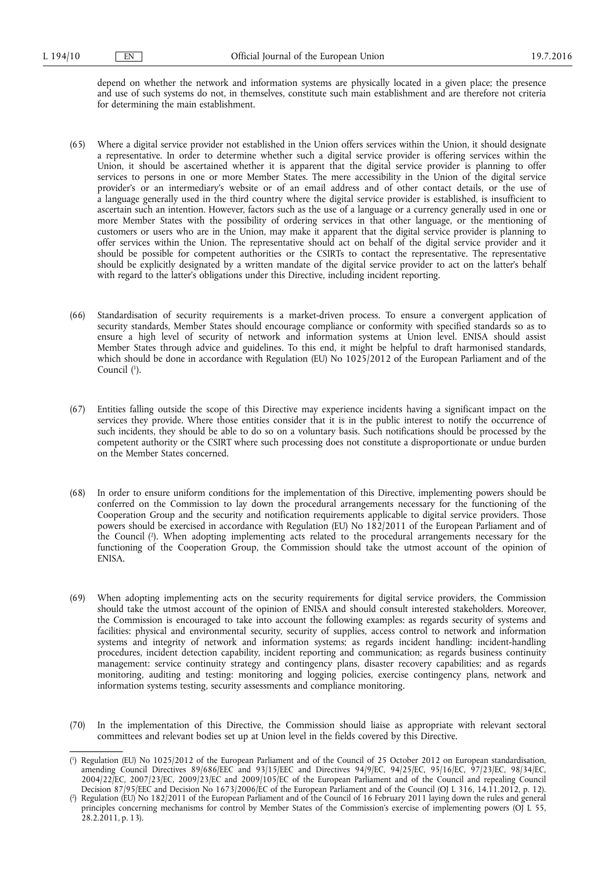depend on whether the network and information systems are physically located in a given place; the presence and use of such systems do not, in themselves, constitute such main establishment and are therefore not criteria for determining the main establishment.

- (65) Where a digital service provider not established in the Union offers services within the Union, it should designate a representative. In order to determine whether such a digital service provider is offering services within the Union, it should be ascertained whether it is apparent that the digital service provider is planning to offer services to persons in one or more Member States. The mere accessibility in the Union of the digital service provider's or an intermediary's website or of an email address and of other contact details, or the use of a language generally used in the third country where the digital service provider is established, is insufficient to ascertain such an intention. However, factors such as the use of a language or a currency generally used in one or more Member States with the possibility of ordering services in that other language, or the mentioning of customers or users who are in the Union, may make it apparent that the digital service provider is planning to offer services within the Union. The representative should act on behalf of the digital service provider and it should be possible for competent authorities or the CSIRTs to contact the representative. The representative should be explicitly designated by a written mandate of the digital service provider to act on the latter's behalf with regard to the latter's obligations under this Directive, including incident reporting.
- (66) Standardisation of security requirements is a market-driven process. To ensure a convergent application of security standards, Member States should encourage compliance or conformity with specified standards so as to ensure a high level of security of network and information systems at Union level. ENISA should assist Member States through advice and guidelines. To this end, it might be helpful to draft harmonised standards, which should be done in accordance with Regulation (EU) No 1025/2012 of the European Parliament and of the Council (<sup>1</sup>).
- (67) Entities falling outside the scope of this Directive may experience incidents having a significant impact on the services they provide. Where those entities consider that it is in the public interest to notify the occurrence of such incidents, they should be able to do so on a voluntary basis. Such notifications should be processed by the competent authority or the CSIRT where such processing does not constitute a disproportionate or undue burden on the Member States concerned.
- (68) In order to ensure uniform conditions for the implementation of this Directive, implementing powers should be conferred on the Commission to lay down the procedural arrangements necessary for the functioning of the Cooperation Group and the security and notification requirements applicable to digital service providers. Those powers should be exercised in accordance with Regulation (EU) No 182/2011 of the European Parliament and of the Council ( 2 ). When adopting implementing acts related to the procedural arrangements necessary for the functioning of the Cooperation Group, the Commission should take the utmost account of the opinion of ENISA.
- (69) When adopting implementing acts on the security requirements for digital service providers, the Commission should take the utmost account of the opinion of ENISA and should consult interested stakeholders. Moreover, the Commission is encouraged to take into account the following examples: as regards security of systems and facilities: physical and environmental security, security of supplies, access control to network and information systems and integrity of network and information systems; as regards incident handling: incident-handling procedures, incident detection capability, incident reporting and communication; as regards business continuity management: service continuity strategy and contingency plans, disaster recovery capabilities; and as regards monitoring, auditing and testing: monitoring and logging policies, exercise contingency plans, network and information systems testing, security assessments and compliance monitoring.
- (70) In the implementation of this Directive, the Commission should liaise as appropriate with relevant sectoral committees and relevant bodies set up at Union level in the fields covered by this Directive.

<sup>(</sup> 1 ) Regulation (EU) No 1025/2012 of the European Parliament and of the Council of 25 October 2012 on European standardisation, amending Council Directives 89/686/EEC and 93/15/EEC and Directives 94/9/EC, 94/25/EC, 95/16/EC, 97/23/EC, 98/34/EC, 2004/22/EC, 2007/23/EC, 2009/23/EC and 2009/105/EC of the European Parliament and of the Council and repealing Council Decision 87/95/EEC and Decision No 1673/2006/EC of the European Parliament and of the Council (OJ L 316, 14.11.2012, p. 12).

<sup>(</sup> 2 ) Regulation (EU) No 182/2011 of the European Parliament and of the Council of 16 February 2011 laying down the rules and general principles concerning mechanisms for control by Member States of the Commission's exercise of implementing powers (OJ L 55, 28.2.2011, p. 13).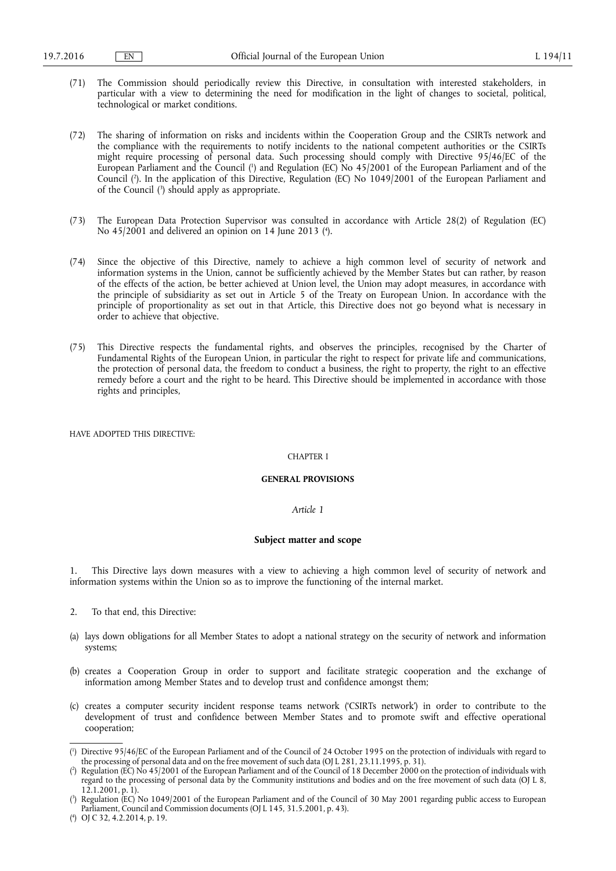- (71) The Commission should periodically review this Directive, in consultation with interested stakeholders, in particular with a view to determining the need for modification in the light of changes to societal, political, technological or market conditions.
- (72) The sharing of information on risks and incidents within the Cooperation Group and the CSIRTs network and the compliance with the requirements to notify incidents to the national competent authorities or the CSIRTs might require processing of personal data. Such processing should comply with Directive 95/46/EC of the European Parliament and the Council ( 1 ) and Regulation (EC) No 45/2001 of the European Parliament and of the Council ( 2 ). In the application of this Directive, Regulation (EC) No 1049/2001 of the European Parliament and of the Council ( 3 ) should apply as appropriate.
- (73) The European Data Protection Supervisor was consulted in accordance with Article 28(2) of Regulation (EC) No 45/2001 and delivered an opinion on 14 June 2013 ( 4 ).
- (74) Since the objective of this Directive, namely to achieve a high common level of security of network and information systems in the Union, cannot be sufficiently achieved by the Member States but can rather, by reason of the effects of the action, be better achieved at Union level, the Union may adopt measures, in accordance with the principle of subsidiarity as set out in Article 5 of the Treaty on European Union. In accordance with the principle of proportionality as set out in that Article, this Directive does not go beyond what is necessary in order to achieve that objective.
- (75) This Directive respects the fundamental rights, and observes the principles, recognised by the Charter of Fundamental Rights of the European Union, in particular the right to respect for private life and communications, the protection of personal data, the freedom to conduct a business, the right to property, the right to an effective remedy before a court and the right to be heard. This Directive should be implemented in accordance with those rights and principles,

HAVE ADOPTED THIS DIRECTIVE:

### CHAPTER I

#### **GENERAL PROVISIONS**

#### *Article 1*

### **Subject matter and scope**

1. This Directive lays down measures with a view to achieving a high common level of security of network and information systems within the Union so as to improve the functioning of the internal market.

- 2. To that end, this Directive:
- (a) lays down obligations for all Member States to adopt a national strategy on the security of network and information systems;
- (b) creates a Cooperation Group in order to support and facilitate strategic cooperation and the exchange of information among Member States and to develop trust and confidence amongst them;
- (c) creates a computer security incident response teams network ('CSIRTs network') in order to contribute to the development of trust and confidence between Member States and to promote swift and effective operational cooperation;

<sup>(</sup> 1 ) Directive 95/46/EC of the European Parliament and of the Council of 24 October 1995 on the protection of individuals with regard to the processing of personal data and on the free movement of such data (OJ L 281, 23.11.1995, p. 31).

<sup>(</sup> 2 ) Regulation (EC) No 45/2001 of the European Parliament and of the Council of 18 December 2000 on the protection of individuals with regard to the processing of personal data by the Community institutions and bodies and on the free movement of such data (OJ L 8,  $12.1.2001, p. 1$ ).

<sup>(</sup> 3 ) Regulation (EC) No 1049/2001 of the European Parliament and of the Council of 30 May 2001 regarding public access to European Parliament, Council and Commission documents (OJ L 145, 31.5.2001, p. 43).

<sup>(</sup> 4 ) OJ C 32, 4.2.2014, p. 19.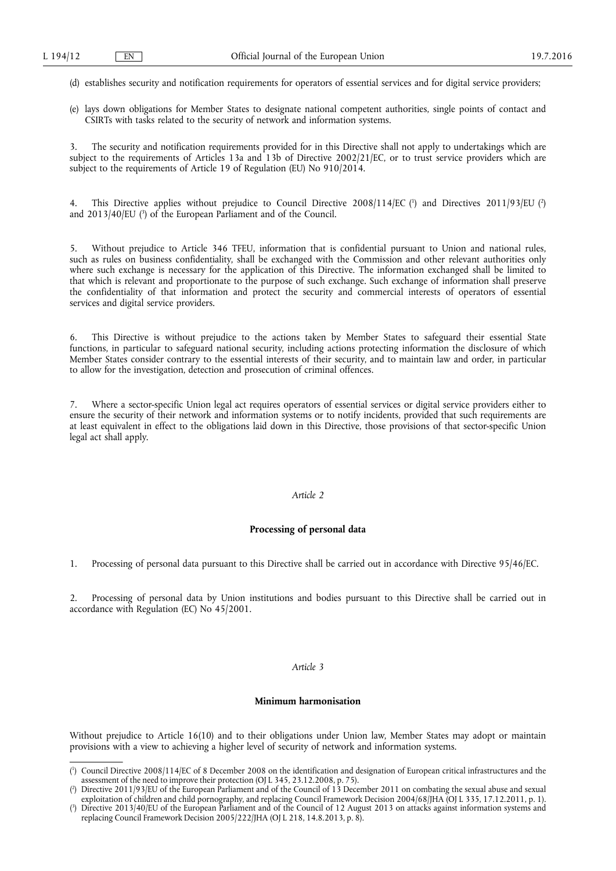(d) establishes security and notification requirements for operators of essential services and for digital service providers;

(e) lays down obligations for Member States to designate national competent authorities, single points of contact and CSIRTs with tasks related to the security of network and information systems.

3. The security and notification requirements provided for in this Directive shall not apply to undertakings which are subject to the requirements of Articles 13a and 13b of Directive 2002/21/EC, or to trust service providers which are subject to the requirements of Article 19 of Regulation (EU) No 910/2014.

4. This Directive applies without prejudice to Council Directive 2008/114/EC (<sup>1</sup>) and Directives 2011/93/EU (<sup>2</sup>) and 2013/40/EU ( 3 ) of the European Parliament and of the Council.

5. Without prejudice to Article 346 TFEU, information that is confidential pursuant to Union and national rules, such as rules on business confidentiality, shall be exchanged with the Commission and other relevant authorities only where such exchange is necessary for the application of this Directive. The information exchanged shall be limited to that which is relevant and proportionate to the purpose of such exchange. Such exchange of information shall preserve the confidentiality of that information and protect the security and commercial interests of operators of essential services and digital service providers.

6. This Directive is without prejudice to the actions taken by Member States to safeguard their essential State functions, in particular to safeguard national security, including actions protecting information the disclosure of which Member States consider contrary to the essential interests of their security, and to maintain law and order, in particular to allow for the investigation, detection and prosecution of criminal offences.

7. Where a sector-specific Union legal act requires operators of essential services or digital service providers either to ensure the security of their network and information systems or to notify incidents, provided that such requirements are at least equivalent in effect to the obligations laid down in this Directive, those provisions of that sector-specific Union legal act shall apply.

#### *Article 2*

# **Processing of personal data**

1. Processing of personal data pursuant to this Directive shall be carried out in accordance with Directive 95/46/EC.

2. Processing of personal data by Union institutions and bodies pursuant to this Directive shall be carried out in accordance with Regulation (EC) No 45/2001.

#### *Article 3*

#### **Minimum harmonisation**

Without prejudice to Article 16(10) and to their obligations under Union law, Member States may adopt or maintain provisions with a view to achieving a higher level of security of network and information systems.

<sup>(</sup> 1 ) Council Directive 2008/114/EC of 8 December 2008 on the identification and designation of European critical infrastructures and the assessment of the need to improve their protection (OJ L 345, 23.12.2008, p. 75).

<sup>(</sup> 2 ) Directive 2011/93/EU of the European Parliament and of the Council of 13 December 2011 on combating the sexual abuse and sexual exploitation of children and child pornography, and replacing Council Framework Decision 2004/68/JHA (OJ L 335, 17.12.2011, p. 1).

<sup>(</sup> 3 ) Directive 2013/40/EU of the European Parliament and of the Council of 12 August 2013 on attacks against information systems and replacing Council Framework Decision 2005/222/JHA (OJ L 218, 14.8.2013, p. 8).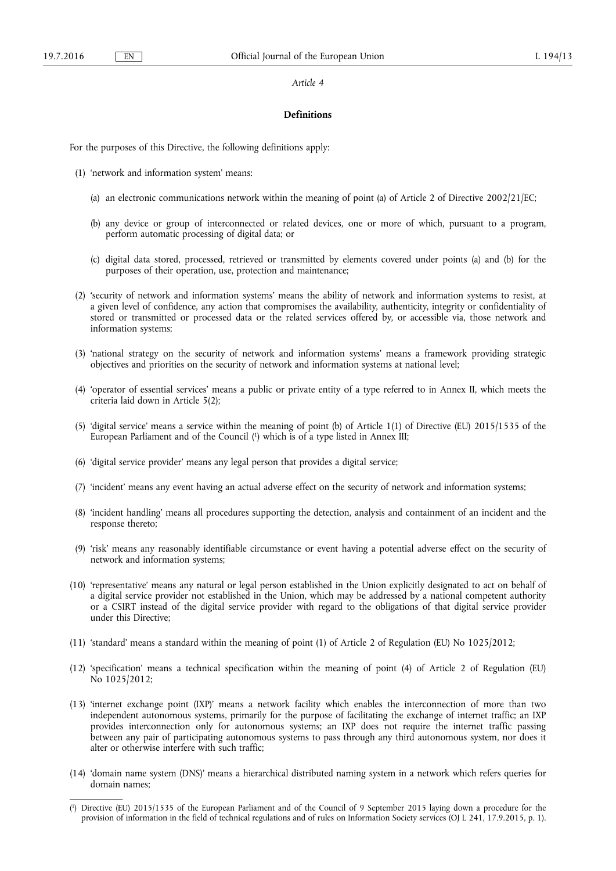#### **Definitions**

For the purposes of this Directive, the following definitions apply:

- (1) 'network and information system' means:
	- (a) an electronic communications network within the meaning of point (a) of Article 2 of Directive 2002/21/EC;
	- (b) any device or group of interconnected or related devices, one or more of which, pursuant to a program, perform automatic processing of digital data; or
	- (c) digital data stored, processed, retrieved or transmitted by elements covered under points (a) and (b) for the purposes of their operation, use, protection and maintenance;
- (2) 'security of network and information systems' means the ability of network and information systems to resist, at a given level of confidence, any action that compromises the availability, authenticity, integrity or confidentiality of stored or transmitted or processed data or the related services offered by, or accessible via, those network and information systems;
- (3) 'national strategy on the security of network and information systems' means a framework providing strategic objectives and priorities on the security of network and information systems at national level;
- (4) 'operator of essential services' means a public or private entity of a type referred to in Annex II, which meets the criteria laid down in Article 5(2);
- (5) 'digital service' means a service within the meaning of point (b) of Article 1(1) of Directive (EU) 2015/1535 of the European Parliament and of the Council ( 1 ) which is of a type listed in Annex III;
- (6) 'digital service provider' means any legal person that provides a digital service;
- (7) 'incident' means any event having an actual adverse effect on the security of network and information systems;
- (8) 'incident handling' means all procedures supporting the detection, analysis and containment of an incident and the response thereto;
- (9) 'risk' means any reasonably identifiable circumstance or event having a potential adverse effect on the security of network and information systems;
- (10) 'representative' means any natural or legal person established in the Union explicitly designated to act on behalf of a digital service provider not established in the Union, which may be addressed by a national competent authority or a CSIRT instead of the digital service provider with regard to the obligations of that digital service provider under this Directive;
- (11) 'standard' means a standard within the meaning of point (1) of Article 2 of Regulation (EU) No 1025/2012;
- (12) 'specification' means a technical specification within the meaning of point (4) of Article 2 of Regulation (EU) No 1025/2012;
- (13) 'internet exchange point (IXP)' means a network facility which enables the interconnection of more than two independent autonomous systems, primarily for the purpose of facilitating the exchange of internet traffic; an IXP provides interconnection only for autonomous systems; an IXP does not require the internet traffic passing between any pair of participating autonomous systems to pass through any third autonomous system, nor does it alter or otherwise interfere with such traffic;
- (14) 'domain name system (DNS)' means a hierarchical distributed naming system in a network which refers queries for domain names;

<sup>(</sup> 1 ) Directive (EU) 2015/1535 of the European Parliament and of the Council of 9 September 2015 laying down a procedure for the provision of information in the field of technical regulations and of rules on Information Society services (OJ L 241, 17.9.2015, p. 1).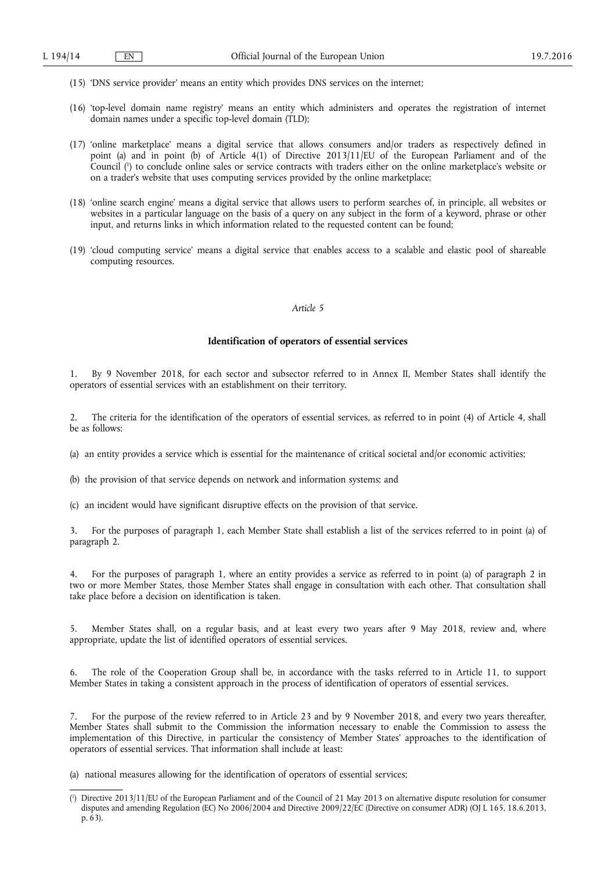- (15) 'DNS service provider' means an entity which provides DNS services on the internet;
- (16) 'top-level domain name registry' means an entity which administers and operates the registration of internet domain names under a specific top-level domain (TLD);
- (17) 'online marketplace' means a digital service that allows consumers and/or traders as respectively defined in point (a) and in point (b) of Article 4(1) of Directive 2013/11/EU of the European Parliament and of the Council ( 1 ) to conclude online sales or service contracts with traders either on the online marketplace's website or on a trader's website that uses computing services provided by the online marketplace;
- (18) 'online search engine' means a digital service that allows users to perform searches of, in principle, all websites or websites in a particular language on the basis of a query on any subject in the form of a keyword, phrase or other input, and returns links in which information related to the requested content can be found;
- (19) 'cloud computing service' means a digital service that enables access to a scalable and elastic pool of shareable computing resources.

# **Identification of operators of essential services**

1. By 9 November 2018, for each sector and subsector referred to in Annex II, Member States shall identify the operators of essential services with an establishment on their territory.

2. The criteria for the identification of the operators of essential services, as referred to in point (4) of Article 4, shall be as follows:

- (a) an entity provides a service which is essential for the maintenance of critical societal and/or economic activities;
- (b) the provision of that service depends on network and information systems; and

(c) an incident would have significant disruptive effects on the provision of that service.

3. For the purposes of paragraph 1, each Member State shall establish a list of the services referred to in point (a) of paragraph 2.

4. For the purposes of paragraph 1, where an entity provides a service as referred to in point (a) of paragraph 2 in two or more Member States, those Member States shall engage in consultation with each other. That consultation shall take place before a decision on identification is taken.

5. Member States shall, on a regular basis, and at least every two years after 9 May 2018, review and, where appropriate, update the list of identified operators of essential services.

The role of the Cooperation Group shall be, in accordance with the tasks referred to in Article 11, to support Member States in taking a consistent approach in the process of identification of operators of essential services.

7. For the purpose of the review referred to in Article 23 and by 9 November 2018, and every two years thereafter, Member States shall submit to the Commission the information necessary to enable the Commission to assess the implementation of this Directive, in particular the consistency of Member States' approaches to the identification of operators of essential services. That information shall include at least:

(a) national measures allowing for the identification of operators of essential services;

<sup>(</sup> 1 ) Directive 2013/11/EU of the European Parliament and of the Council of 21 May 2013 on alternative dispute resolution for consumer disputes and amending Regulation (EC) No 2006/2004 and Directive 2009/22/EC (Directive on consumer ADR) (OJ L 165, 18.6.2013, p. 63).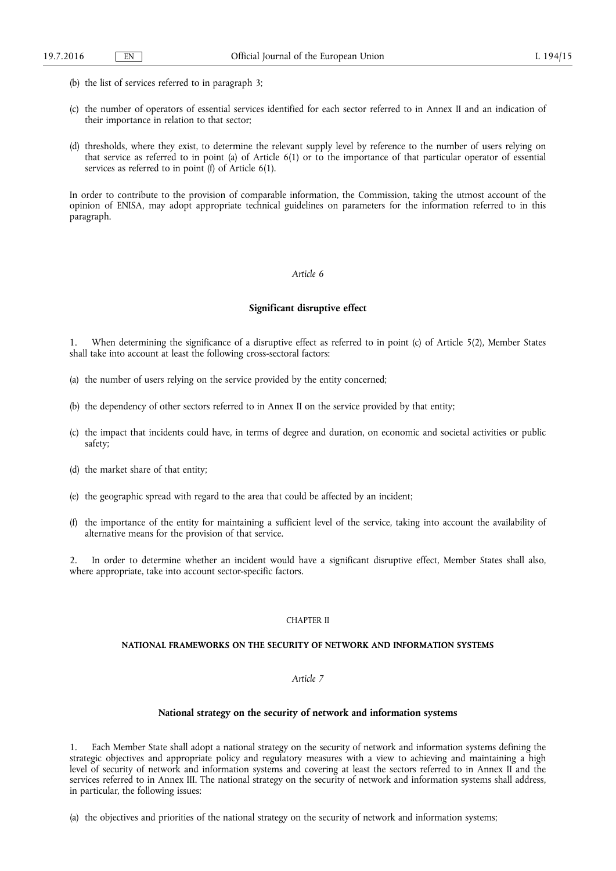- (b) the list of services referred to in paragraph 3;
- (c) the number of operators of essential services identified for each sector referred to in Annex II and an indication of their importance in relation to that sector;
- (d) thresholds, where they exist, to determine the relevant supply level by reference to the number of users relying on that service as referred to in point (a) of Article 6(1) or to the importance of that particular operator of essential services as referred to in point (f) of Article 6(1).

In order to contribute to the provision of comparable information, the Commission, taking the utmost account of the opinion of ENISA, may adopt appropriate technical guidelines on parameters for the information referred to in this paragraph.

#### *Article 6*

### **Significant disruptive effect**

1. When determining the significance of a disruptive effect as referred to in point (c) of Article 5(2), Member States shall take into account at least the following cross-sectoral factors:

- (a) the number of users relying on the service provided by the entity concerned;
- (b) the dependency of other sectors referred to in Annex II on the service provided by that entity;
- (c) the impact that incidents could have, in terms of degree and duration, on economic and societal activities or public safety;
- (d) the market share of that entity;
- (e) the geographic spread with regard to the area that could be affected by an incident;
- (f) the importance of the entity for maintaining a sufficient level of the service, taking into account the availability of alternative means for the provision of that service.

2. In order to determine whether an incident would have a significant disruptive effect, Member States shall also, where appropriate, take into account sector-specific factors.

### CHAPTER II

#### **NATIONAL FRAMEWORKS ON THE SECURITY OF NETWORK AND INFORMATION SYSTEMS**

#### *Article 7*

#### **National strategy on the security of network and information systems**

1. Each Member State shall adopt a national strategy on the security of network and information systems defining the strategic objectives and appropriate policy and regulatory measures with a view to achieving and maintaining a high level of security of network and information systems and covering at least the sectors referred to in Annex II and the services referred to in Annex III. The national strategy on the security of network and information systems shall address, in particular, the following issues:

(a) the objectives and priorities of the national strategy on the security of network and information systems;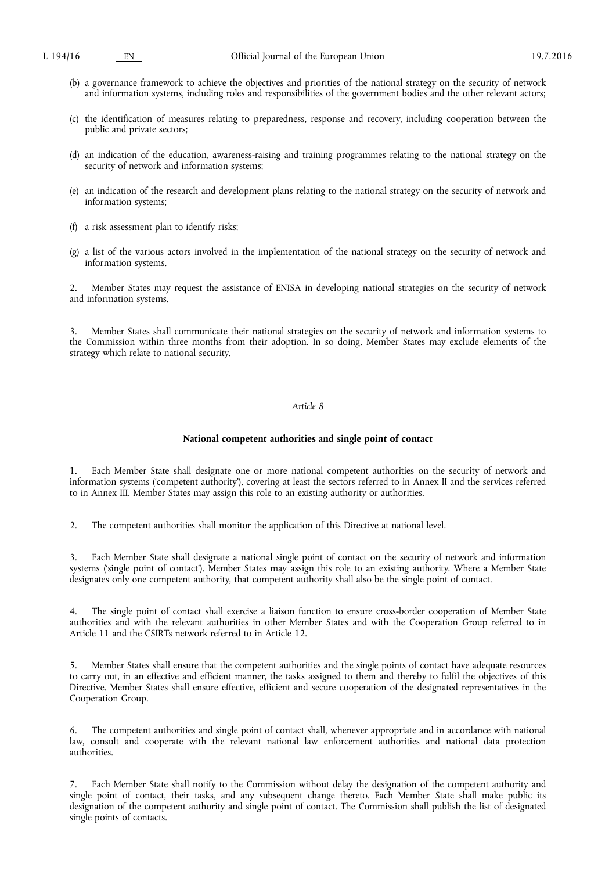- (b) a governance framework to achieve the objectives and priorities of the national strategy on the security of network and information systems, including roles and responsibilities of the government bodies and the other relevant actors;
- (c) the identification of measures relating to preparedness, response and recovery, including cooperation between the public and private sectors;
- (d) an indication of the education, awareness-raising and training programmes relating to the national strategy on the security of network and information systems;
- (e) an indication of the research and development plans relating to the national strategy on the security of network and information systems;
- (f) a risk assessment plan to identify risks;
- (g) a list of the various actors involved in the implementation of the national strategy on the security of network and information systems.

2. Member States may request the assistance of ENISA in developing national strategies on the security of network and information systems.

3. Member States shall communicate their national strategies on the security of network and information systems to the Commission within three months from their adoption. In so doing, Member States may exclude elements of the strategy which relate to national security.

#### *Article 8*

#### **National competent authorities and single point of contact**

1. Each Member State shall designate one or more national competent authorities on the security of network and information systems ('competent authority'), covering at least the sectors referred to in Annex II and the services referred to in Annex III. Member States may assign this role to an existing authority or authorities.

2. The competent authorities shall monitor the application of this Directive at national level.

3. Each Member State shall designate a national single point of contact on the security of network and information systems ('single point of contact'). Member States may assign this role to an existing authority. Where a Member State designates only one competent authority, that competent authority shall also be the single point of contact.

4. The single point of contact shall exercise a liaison function to ensure cross-border cooperation of Member State authorities and with the relevant authorities in other Member States and with the Cooperation Group referred to in Article 11 and the CSIRTs network referred to in Article 12.

5. Member States shall ensure that the competent authorities and the single points of contact have adequate resources to carry out, in an effective and efficient manner, the tasks assigned to them and thereby to fulfil the objectives of this Directive. Member States shall ensure effective, efficient and secure cooperation of the designated representatives in the Cooperation Group.

The competent authorities and single point of contact shall, whenever appropriate and in accordance with national law, consult and cooperate with the relevant national law enforcement authorities and national data protection authorities.

7. Each Member State shall notify to the Commission without delay the designation of the competent authority and single point of contact, their tasks, and any subsequent change thereto. Each Member State shall make public its designation of the competent authority and single point of contact. The Commission shall publish the list of designated single points of contacts.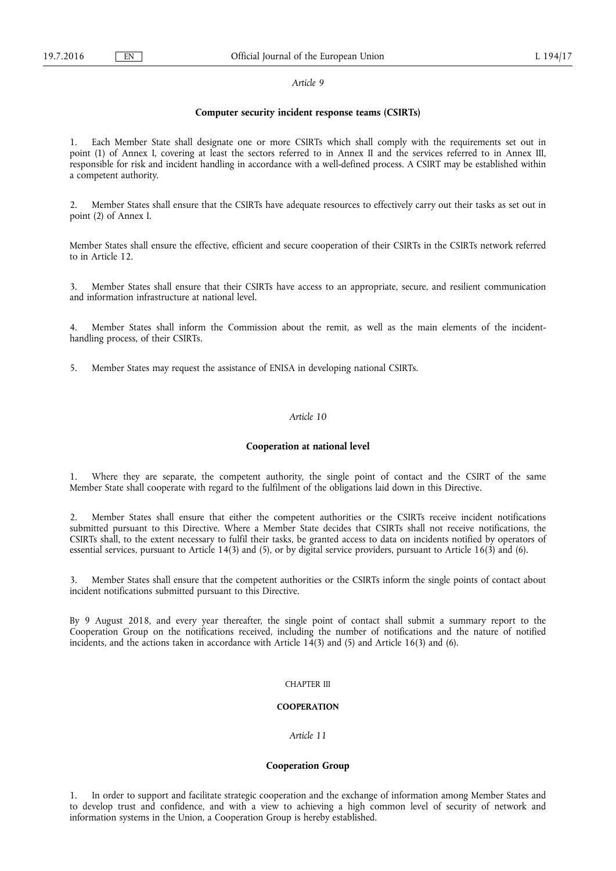#### **Computer security incident response teams (CSIRTs)**

1. Each Member State shall designate one or more CSIRTs which shall comply with the requirements set out in point (1) of Annex I, covering at least the sectors referred to in Annex II and the services referred to in Annex III, responsible for risk and incident handling in accordance with a well-defined process. A CSIRT may be established within a competent authority.

2. Member States shall ensure that the CSIRTs have adequate resources to effectively carry out their tasks as set out in point (2) of Annex I.

Member States shall ensure the effective, efficient and secure cooperation of their CSIRTs in the CSIRTs network referred to in Article 12.

3. Member States shall ensure that their CSIRTs have access to an appropriate, secure, and resilient communication and information infrastructure at national level.

4. Member States shall inform the Commission about the remit, as well as the main elements of the incidenthandling process, of their CSIRTs.

5. Member States may request the assistance of ENISA in developing national CSIRTs.

# *Article 10*

#### **Cooperation at national level**

1. Where they are separate, the competent authority, the single point of contact and the CSIRT of the same Member State shall cooperate with regard to the fulfilment of the obligations laid down in this Directive.

2. Member States shall ensure that either the competent authorities or the CSIRTs receive incident notifications submitted pursuant to this Directive. Where a Member State decides that CSIRTs shall not receive notifications, the CSIRTs shall, to the extent necessary to fulfil their tasks, be granted access to data on incidents notified by operators of essential services, pursuant to Article 14(3) and (5), or by digital service providers, pursuant to Article 16(3) and (6).

3. Member States shall ensure that the competent authorities or the CSIRTs inform the single points of contact about incident notifications submitted pursuant to this Directive.

By 9 August 2018, and every year thereafter, the single point of contact shall submit a summary report to the Cooperation Group on the notifications received, including the number of notifications and the nature of notified incidents, and the actions taken in accordance with Article 14(3) and (5) and Article 16(3) and (6).

#### CHAPTER III

# **COOPERATION**

#### *Article 11*

### **Cooperation Group**

1. In order to support and facilitate strategic cooperation and the exchange of information among Member States and to develop trust and confidence, and with a view to achieving a high common level of security of network and information systems in the Union, a Cooperation Group is hereby established.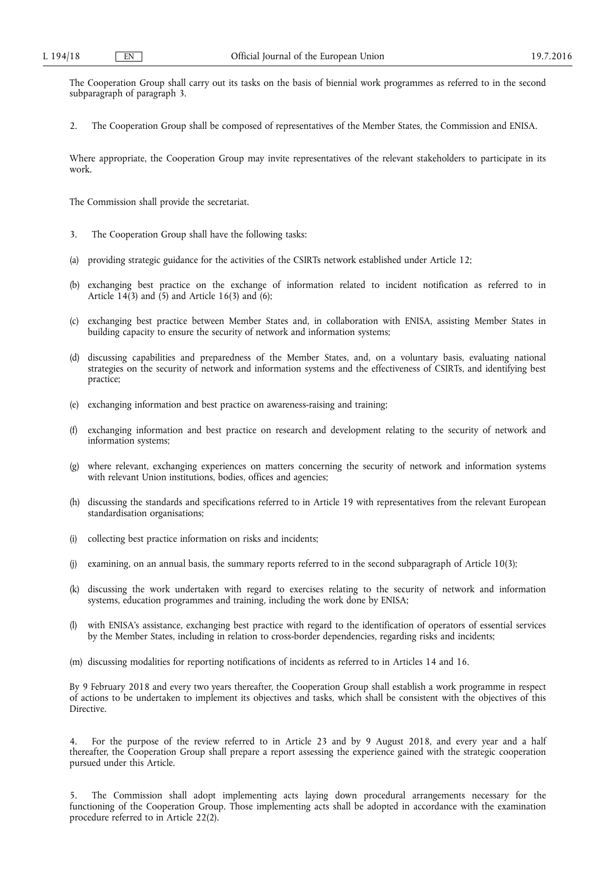The Cooperation Group shall carry out its tasks on the basis of biennial work programmes as referred to in the second subparagraph of paragraph 3.

2. The Cooperation Group shall be composed of representatives of the Member States, the Commission and ENISA.

Where appropriate, the Cooperation Group may invite representatives of the relevant stakeholders to participate in its work.

The Commission shall provide the secretariat.

- 3. The Cooperation Group shall have the following tasks:
- (a) providing strategic guidance for the activities of the CSIRTs network established under Article 12;
- (b) exchanging best practice on the exchange of information related to incident notification as referred to in Article  $14(3)$  and  $(5)$  and Article 16(3) and  $(6)$ ;
- (c) exchanging best practice between Member States and, in collaboration with ENISA, assisting Member States in building capacity to ensure the security of network and information systems;
- (d) discussing capabilities and preparedness of the Member States, and, on a voluntary basis, evaluating national strategies on the security of network and information systems and the effectiveness of CSIRTs, and identifying best practice;
- (e) exchanging information and best practice on awareness-raising and training;
- (f) exchanging information and best practice on research and development relating to the security of network and information systems;
- (g) where relevant, exchanging experiences on matters concerning the security of network and information systems with relevant Union institutions, bodies, offices and agencies;
- (h) discussing the standards and specifications referred to in Article 19 with representatives from the relevant European standardisation organisations;
- (i) collecting best practice information on risks and incidents;
- (j) examining, on an annual basis, the summary reports referred to in the second subparagraph of Article 10(3);
- (k) discussing the work undertaken with regard to exercises relating to the security of network and information systems, education programmes and training, including the work done by ENISA;
- (l) with ENISA's assistance, exchanging best practice with regard to the identification of operators of essential services by the Member States, including in relation to cross-border dependencies, regarding risks and incidents;
- (m) discussing modalities for reporting notifications of incidents as referred to in Articles 14 and 16.

By 9 February 2018 and every two years thereafter, the Cooperation Group shall establish a work programme in respect of actions to be undertaken to implement its objectives and tasks, which shall be consistent with the objectives of this Directive.

4. For the purpose of the review referred to in Article 23 and by 9 August 2018, and every year and a half thereafter, the Cooperation Group shall prepare a report assessing the experience gained with the strategic cooperation pursued under this Article.

5. The Commission shall adopt implementing acts laying down procedural arrangements necessary for the functioning of the Cooperation Group. Those implementing acts shall be adopted in accordance with the examination procedure referred to in Article 22(2).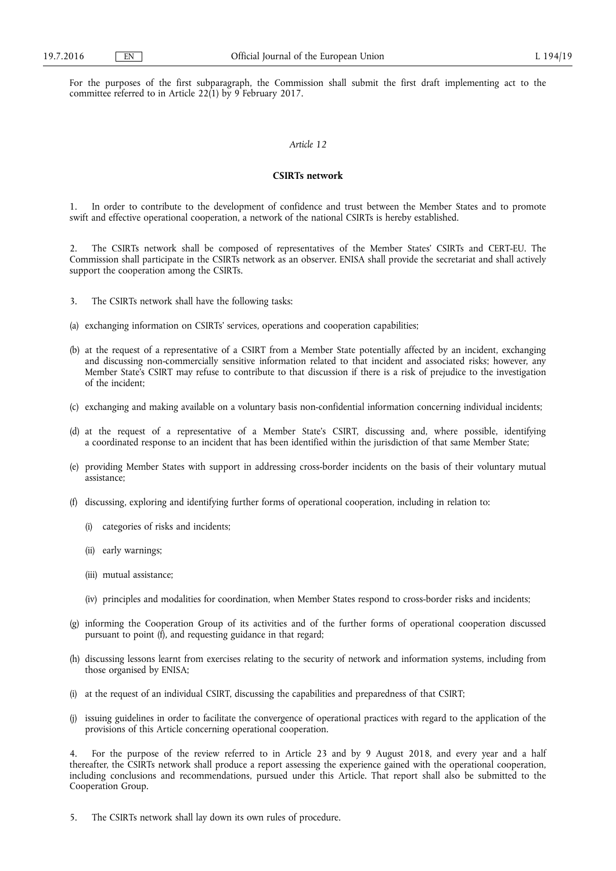For the purposes of the first subparagraph, the Commission shall submit the first draft implementing act to the committee referred to in Article 22(1) by 9 February 2017.

# *Article 12*

# **CSIRTs network**

1. In order to contribute to the development of confidence and trust between the Member States and to promote swift and effective operational cooperation, a network of the national CSIRTs is hereby established.

2. The CSIRTs network shall be composed of representatives of the Member States' CSIRTs and CERT-EU. The Commission shall participate in the CSIRTs network as an observer. ENISA shall provide the secretariat and shall actively support the cooperation among the CSIRTs.

- 3. The CSIRTs network shall have the following tasks:
- (a) exchanging information on CSIRTs' services, operations and cooperation capabilities;
- (b) at the request of a representative of a CSIRT from a Member State potentially affected by an incident, exchanging and discussing non-commercially sensitive information related to that incident and associated risks; however, any Member State's CSIRT may refuse to contribute to that discussion if there is a risk of prejudice to the investigation of the incident;
- (c) exchanging and making available on a voluntary basis non-confidential information concerning individual incidents;
- (d) at the request of a representative of a Member State's CSIRT, discussing and, where possible, identifying a coordinated response to an incident that has been identified within the jurisdiction of that same Member State;
- (e) providing Member States with support in addressing cross-border incidents on the basis of their voluntary mutual assistance;
- (f) discussing, exploring and identifying further forms of operational cooperation, including in relation to:
	- (i) categories of risks and incidents;
	- (ii) early warnings;
	- (iii) mutual assistance;
	- (iv) principles and modalities for coordination, when Member States respond to cross-border risks and incidents;
- (g) informing the Cooperation Group of its activities and of the further forms of operational cooperation discussed pursuant to point  $(\tilde{f})$ , and requesting guidance in that regard;
- (h) discussing lessons learnt from exercises relating to the security of network and information systems, including from those organised by ENISA;
- (i) at the request of an individual CSIRT, discussing the capabilities and preparedness of that CSIRT;
- (j) issuing guidelines in order to facilitate the convergence of operational practices with regard to the application of the provisions of this Article concerning operational cooperation.

4. For the purpose of the review referred to in Article 23 and by 9 August 2018, and every year and a half thereafter, the CSIRTs network shall produce a report assessing the experience gained with the operational cooperation, including conclusions and recommendations, pursued under this Article. That report shall also be submitted to the Cooperation Group.

5. The CSIRTs network shall lay down its own rules of procedure.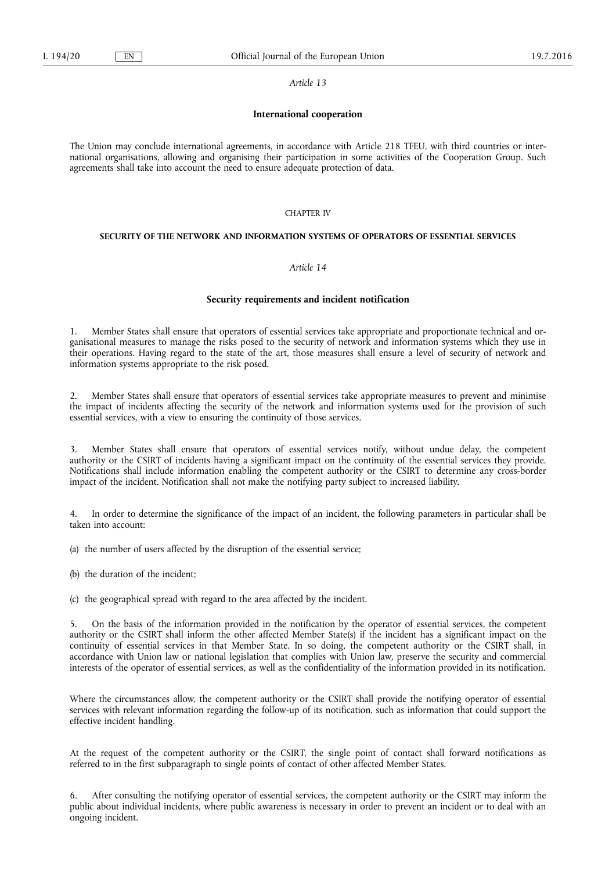#### **International cooperation**

The Union may conclude international agreements, in accordance with Article 218 TFEU, with third countries or international organisations, allowing and organising their participation in some activities of the Cooperation Group. Such agreements shall take into account the need to ensure adequate protection of data.

#### CHAPTER IV

# **SECURITY OF THE NETWORK AND INFORMATION SYSTEMS OF OPERATORS OF ESSENTIAL SERVICES**

#### *Article 14*

# **Security requirements and incident notification**

1. Member States shall ensure that operators of essential services take appropriate and proportionate technical and organisational measures to manage the risks posed to the security of network and information systems which they use in their operations. Having regard to the state of the art, those measures shall ensure a level of security of network and information systems appropriate to the risk posed.

2. Member States shall ensure that operators of essential services take appropriate measures to prevent and minimise the impact of incidents affecting the security of the network and information systems used for the provision of such essential services, with a view to ensuring the continuity of those services.

3. Member States shall ensure that operators of essential services notify, without undue delay, the competent authority or the CSIRT of incidents having a significant impact on the continuity of the essential services they provide. Notifications shall include information enabling the competent authority or the CSIRT to determine any cross-border impact of the incident. Notification shall not make the notifying party subject to increased liability.

In order to determine the significance of the impact of an incident, the following parameters in particular shall be taken into account:

(a) the number of users affected by the disruption of the essential service;

(b) the duration of the incident;

(c) the geographical spread with regard to the area affected by the incident.

5. On the basis of the information provided in the notification by the operator of essential services, the competent authority or the CSIRT shall inform the other affected Member State(s) if the incident has a significant impact on the continuity of essential services in that Member State. In so doing, the competent authority or the CSIRT shall, in accordance with Union law or national legislation that complies with Union law, preserve the security and commercial interests of the operator of essential services, as well as the confidentiality of the information provided in its notification.

Where the circumstances allow, the competent authority or the CSIRT shall provide the notifying operator of essential services with relevant information regarding the follow-up of its notification, such as information that could support the effective incident handling.

At the request of the competent authority or the CSIRT, the single point of contact shall forward notifications as referred to in the first subparagraph to single points of contact of other affected Member States.

6. After consulting the notifying operator of essential services, the competent authority or the CSIRT may inform the public about individual incidents, where public awareness is necessary in order to prevent an incident or to deal with an ongoing incident.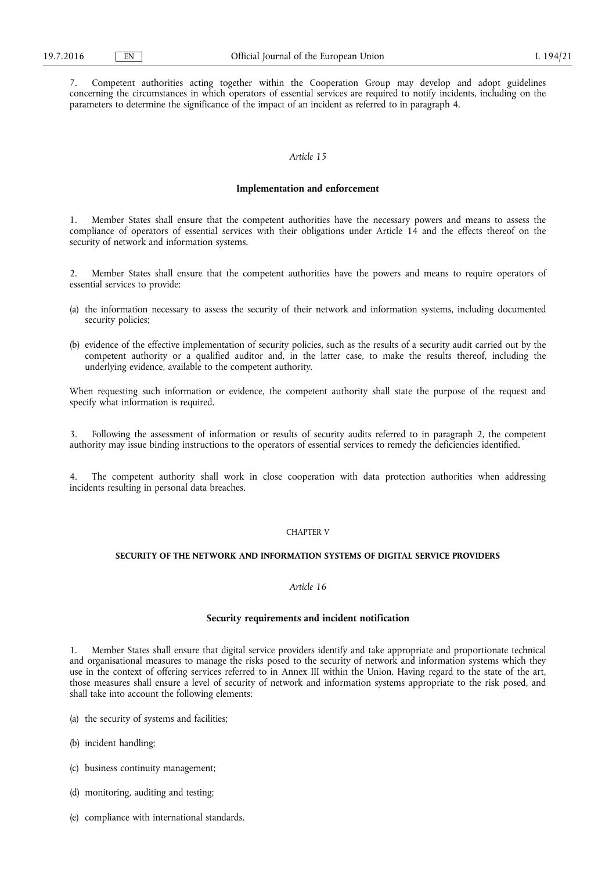7. Competent authorities acting together within the Cooperation Group may develop and adopt guidelines concerning the circumstances in which operators of essential services are required to notify incidents, including on the parameters to determine the significance of the impact of an incident as referred to in paragraph 4.

#### *Article 15*

#### **Implementation and enforcement**

1. Member States shall ensure that the competent authorities have the necessary powers and means to assess the compliance of operators of essential services with their obligations under Article 14 and the effects thereof on the security of network and information systems.

2. Member States shall ensure that the competent authorities have the powers and means to require operators of essential services to provide:

- (a) the information necessary to assess the security of their network and information systems, including documented security policies;
- (b) evidence of the effective implementation of security policies, such as the results of a security audit carried out by the competent authority or a qualified auditor and, in the latter case, to make the results thereof, including the underlying evidence, available to the competent authority.

When requesting such information or evidence, the competent authority shall state the purpose of the request and specify what information is required.

3. Following the assessment of information or results of security audits referred to in paragraph 2, the competent authority may issue binding instructions to the operators of essential services to remedy the deficiencies identified.

4. The competent authority shall work in close cooperation with data protection authorities when addressing incidents resulting in personal data breaches.

#### CHAPTER V

#### **SECURITY OF THE NETWORK AND INFORMATION SYSTEMS OF DIGITAL SERVICE PROVIDERS**

# *Article 16*

#### **Security requirements and incident notification**

1. Member States shall ensure that digital service providers identify and take appropriate and proportionate technical and organisational measures to manage the risks posed to the security of network and information systems which they use in the context of offering services referred to in Annex III within the Union. Having regard to the state of the art, those measures shall ensure a level of security of network and information systems appropriate to the risk posed, and shall take into account the following elements:

- (a) the security of systems and facilities;
- (b) incident handling;
- (c) business continuity management;
- (d) monitoring, auditing and testing;
- (e) compliance with international standards.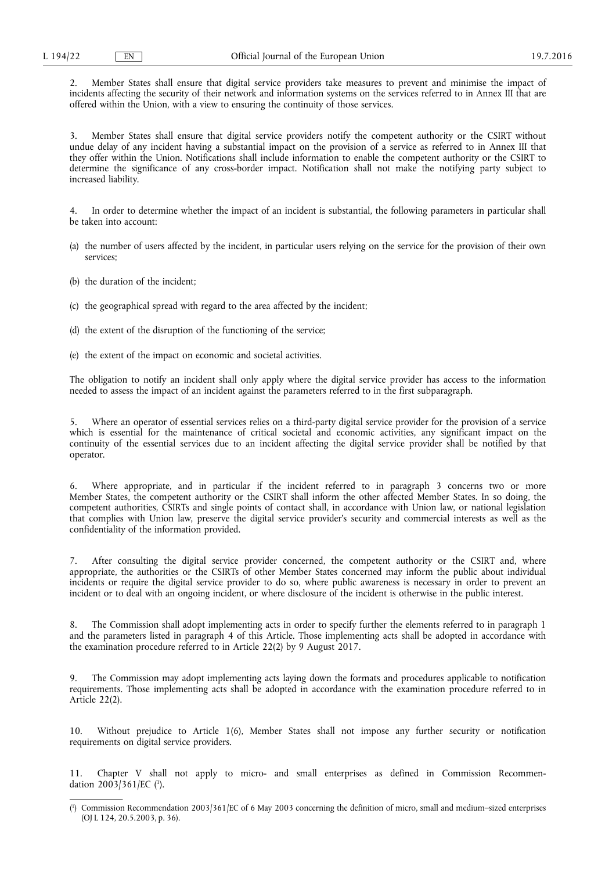2. Member States shall ensure that digital service providers take measures to prevent and minimise the impact of incidents affecting the security of their network and information systems on the services referred to in Annex III that are offered within the Union, with a view to ensuring the continuity of those services.

3. Member States shall ensure that digital service providers notify the competent authority or the CSIRT without undue delay of any incident having a substantial impact on the provision of a service as referred to in Annex III that they offer within the Union. Notifications shall include information to enable the competent authority or the CSIRT to determine the significance of any cross-border impact. Notification shall not make the notifying party subject to increased liability.

4. In order to determine whether the impact of an incident is substantial, the following parameters in particular shall be taken into account:

- (a) the number of users affected by the incident, in particular users relying on the service for the provision of their own services;
- (b) the duration of the incident;
- (c) the geographical spread with regard to the area affected by the incident;
- (d) the extent of the disruption of the functioning of the service;
- (e) the extent of the impact on economic and societal activities.

The obligation to notify an incident shall only apply where the digital service provider has access to the information needed to assess the impact of an incident against the parameters referred to in the first subparagraph.

Where an operator of essential services relies on a third-party digital service provider for the provision of a service which is essential for the maintenance of critical societal and economic activities, any significant impact on the continuity of the essential services due to an incident affecting the digital service provider shall be notified by that operator.

6. Where appropriate, and in particular if the incident referred to in paragraph 3 concerns two or more Member States, the competent authority or the CSIRT shall inform the other affected Member States. In so doing, the competent authorities, CSIRTs and single points of contact shall, in accordance with Union law, or national legislation that complies with Union law, preserve the digital service provider's security and commercial interests as well as the confidentiality of the information provided.

7. After consulting the digital service provider concerned, the competent authority or the CSIRT and, where appropriate, the authorities or the CSIRTs of other Member States concerned may inform the public about individual incidents or require the digital service provider to do so, where public awareness is necessary in order to prevent an incident or to deal with an ongoing incident, or where disclosure of the incident is otherwise in the public interest.

8. The Commission shall adopt implementing acts in order to specify further the elements referred to in paragraph 1 and the parameters listed in paragraph 4 of this Article. Those implementing acts shall be adopted in accordance with the examination procedure referred to in Article 22(2) by 9 August 2017.

The Commission may adopt implementing acts laying down the formats and procedures applicable to notification requirements. Those implementing acts shall be adopted in accordance with the examination procedure referred to in Article 22(2).

10. Without prejudice to Article 1(6), Member States shall not impose any further security or notification requirements on digital service providers.

11. Chapter V shall not apply to micro- and small enterprises as defined in Commission Recommendation 2003/361/EC (<sup>1</sup>).

<sup>(</sup> 1 ) Commission Recommendation 2003/361/EC of 6 May 2003 concerning the definition of micro, small and medium–sized enterprises (OJ L 124, 20.5.2003, p. 36).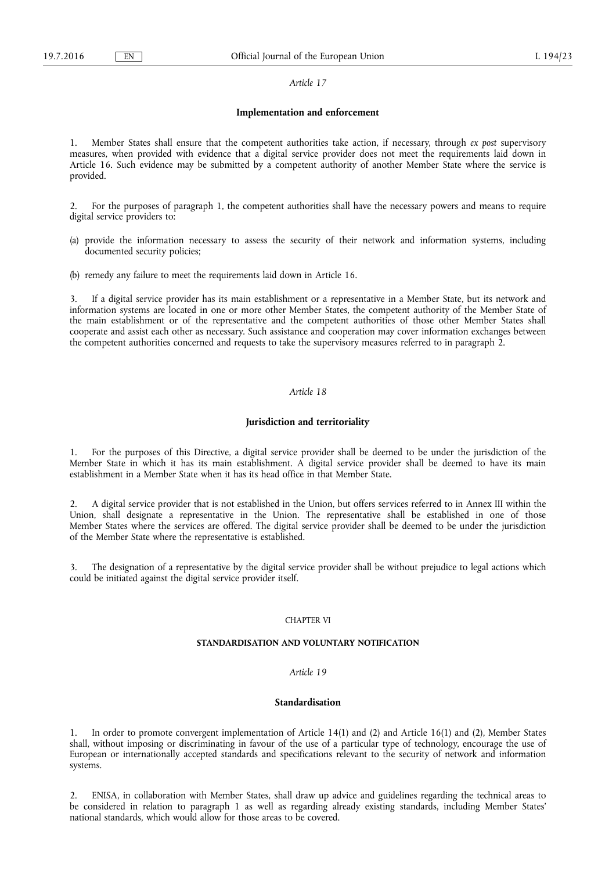#### **Implementation and enforcement**

1. Member States shall ensure that the competent authorities take action, if necessary, through *ex post* supervisory measures, when provided with evidence that a digital service provider does not meet the requirements laid down in Article 16. Such evidence may be submitted by a competent authority of another Member State where the service is provided.

2. For the purposes of paragraph 1, the competent authorities shall have the necessary powers and means to require digital service providers to:

- (a) provide the information necessary to assess the security of their network and information systems, including documented security policies;
- (b) remedy any failure to meet the requirements laid down in Article 16.

If a digital service provider has its main establishment or a representative in a Member State, but its network and information systems are located in one or more other Member States, the competent authority of the Member State of the main establishment or of the representative and the competent authorities of those other Member States shall cooperate and assist each other as necessary. Such assistance and cooperation may cover information exchanges between the competent authorities concerned and requests to take the supervisory measures referred to in paragraph 2.

# *Article 18*

#### **Jurisdiction and territoriality**

1. For the purposes of this Directive, a digital service provider shall be deemed to be under the jurisdiction of the Member State in which it has its main establishment. A digital service provider shall be deemed to have its main establishment in a Member State when it has its head office in that Member State.

2. A digital service provider that is not established in the Union, but offers services referred to in Annex III within the Union, shall designate a representative in the Union. The representative shall be established in one of those Member States where the services are offered. The digital service provider shall be deemed to be under the jurisdiction of the Member State where the representative is established.

3. The designation of a representative by the digital service provider shall be without prejudice to legal actions which could be initiated against the digital service provider itself.

#### CHAPTER VI

# **STANDARDISATION AND VOLUNTARY NOTIFICATION**

# *Article 19*

#### **Standardisation**

1. In order to promote convergent implementation of Article 14(1) and (2) and Article 16(1) and (2), Member States shall, without imposing or discriminating in favour of the use of a particular type of technology, encourage the use of European or internationally accepted standards and specifications relevant to the security of network and information systems.

2. ENISA, in collaboration with Member States, shall draw up advice and guidelines regarding the technical areas to be considered in relation to paragraph 1 as well as regarding already existing standards, including Member States' national standards, which would allow for those areas to be covered.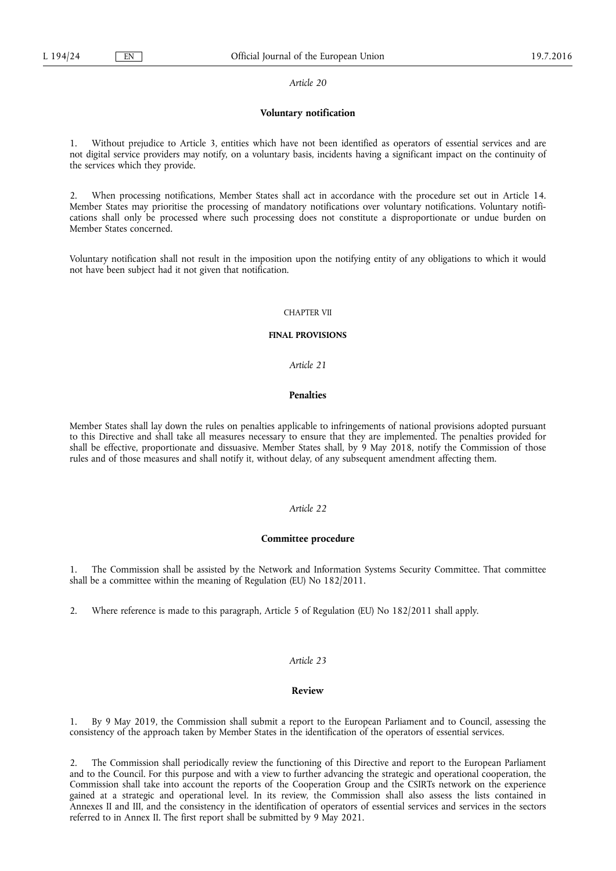#### **Voluntary notification**

1. Without prejudice to Article 3, entities which have not been identified as operators of essential services and are not digital service providers may notify, on a voluntary basis, incidents having a significant impact on the continuity of the services which they provide.

2. When processing notifications, Member States shall act in accordance with the procedure set out in Article 14. Member States may prioritise the processing of mandatory notifications over voluntary notifications. Voluntary notifications shall only be processed where such processing does not constitute a disproportionate or undue burden on Member States concerned.

Voluntary notification shall not result in the imposition upon the notifying entity of any obligations to which it would not have been subject had it not given that notification.

#### CHAPTER VII

#### **FINAL PROVISIONS**

#### *Article 21*

## **Penalties**

Member States shall lay down the rules on penalties applicable to infringements of national provisions adopted pursuant to this Directive and shall take all measures necessary to ensure that they are implemented. The penalties provided for shall be effective, proportionate and dissuasive. Member States shall, by 9 May 2018, notify the Commission of those rules and of those measures and shall notify it, without delay, of any subsequent amendment affecting them.

### *Article 22*

#### **Committee procedure**

1. The Commission shall be assisted by the Network and Information Systems Security Committee. That committee shall be a committee within the meaning of Regulation (EU) No 182/2011.

2. Where reference is made to this paragraph, Article 5 of Regulation (EU) No 182/2011 shall apply.

#### *Article 23*

#### **Review**

1. By 9 May 2019, the Commission shall submit a report to the European Parliament and to Council, assessing the consistency of the approach taken by Member States in the identification of the operators of essential services.

2. The Commission shall periodically review the functioning of this Directive and report to the European Parliament and to the Council. For this purpose and with a view to further advancing the strategic and operational cooperation, the Commission shall take into account the reports of the Cooperation Group and the CSIRTs network on the experience gained at a strategic and operational level. In its review, the Commission shall also assess the lists contained in Annexes II and III, and the consistency in the identification of operators of essential services and services in the sectors referred to in Annex II. The first report shall be submitted by 9 May 2021.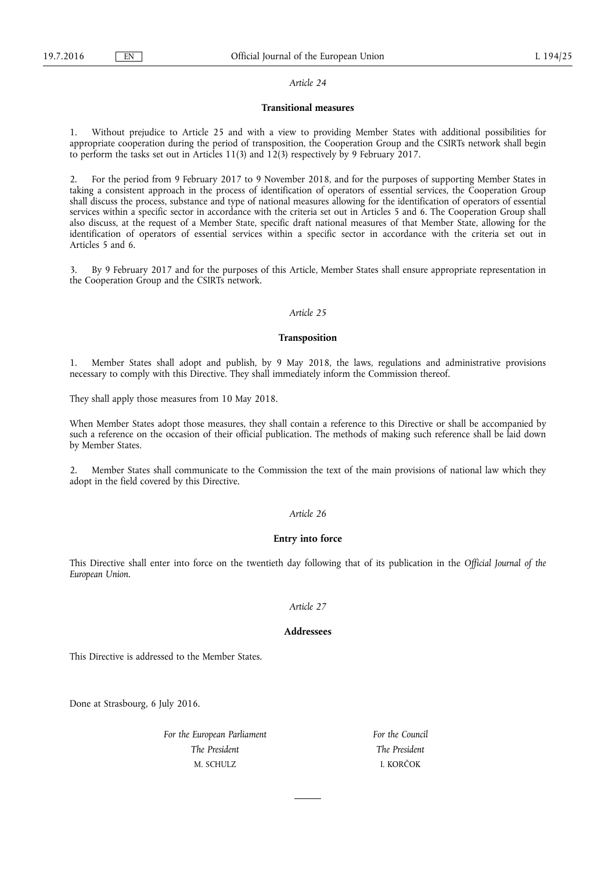# **Transitional measures**

1. Without prejudice to Article 25 and with a view to providing Member States with additional possibilities for appropriate cooperation during the period of transposition, the Cooperation Group and the CSIRTs network shall begin to perform the tasks set out in Articles 11(3) and 12(3) respectively by 9 February 2017.

2. For the period from 9 February 2017 to 9 November 2018, and for the purposes of supporting Member States in taking a consistent approach in the process of identification of operators of essential services, the Cooperation Group shall discuss the process, substance and type of national measures allowing for the identification of operators of essential services within a specific sector in accordance with the criteria set out in Articles 5 and 6. The Cooperation Group shall also discuss, at the request of a Member State, specific draft national measures of that Member State, allowing for the identification of operators of essential services within a specific sector in accordance with the criteria set out in Articles 5 and 6.

3. By 9 February 2017 and for the purposes of this Article, Member States shall ensure appropriate representation in the Cooperation Group and the CSIRTs network.

#### *Article 25*

#### **Transposition**

1. Member States shall adopt and publish, by 9 May 2018, the laws, regulations and administrative provisions necessary to comply with this Directive. They shall immediately inform the Commission thereof.

They shall apply those measures from 10 May 2018.

When Member States adopt those measures, they shall contain a reference to this Directive or shall be accompanied by such a reference on the occasion of their official publication. The methods of making such reference shall be laid down by Member States.

2. Member States shall communicate to the Commission the text of the main provisions of national law which they adopt in the field covered by this Directive.

#### *Article 26*

#### **Entry into force**

This Directive shall enter into force on the twentieth day following that of its publication in the *Official Journal of the European Union*.

#### *Article 27*

#### **Addressees**

This Directive is addressed to the Member States.

Done at Strasbourg, 6 July 2016.

*For the European Parliament The President*  M. SCHULZ

*For the Council The President*  I. KORČOK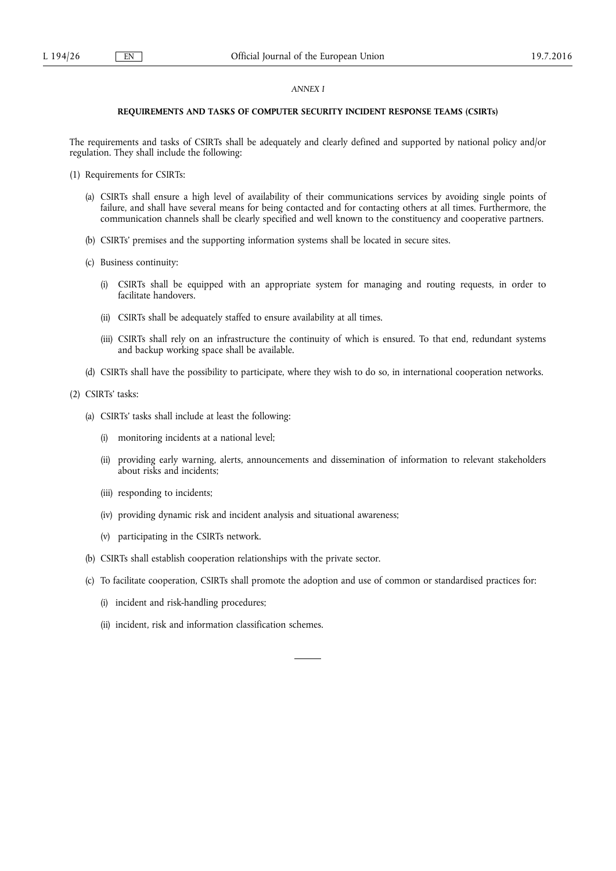## *ANNEX I*

# **REQUIREMENTS AND TASKS OF COMPUTER SECURITY INCIDENT RESPONSE TEAMS (CSIRTs)**

The requirements and tasks of CSIRTs shall be adequately and clearly defined and supported by national policy and/or regulation. They shall include the following:

- (1) Requirements for CSIRTs:
	- (a) CSIRTs shall ensure a high level of availability of their communications services by avoiding single points of failure, and shall have several means for being contacted and for contacting others at all times. Furthermore, the communication channels shall be clearly specified and well known to the constituency and cooperative partners.
	- (b) CSIRTs' premises and the supporting information systems shall be located in secure sites.
	- (c) Business continuity:
		- (i) CSIRTs shall be equipped with an appropriate system for managing and routing requests, in order to facilitate handovers.
		- (ii) CSIRTs shall be adequately staffed to ensure availability at all times.
		- (iii) CSIRTs shall rely on an infrastructure the continuity of which is ensured. To that end, redundant systems and backup working space shall be available.
	- (d) CSIRTs shall have the possibility to participate, where they wish to do so, in international cooperation networks.
- (2) CSIRTs' tasks:
	- (a) CSIRTs' tasks shall include at least the following:
		- (i) monitoring incidents at a national level;
		- (ii) providing early warning, alerts, announcements and dissemination of information to relevant stakeholders about risks and incidents;
		- (iii) responding to incidents;
		- (iv) providing dynamic risk and incident analysis and situational awareness;
		- (v) participating in the CSIRTs network.
	- (b) CSIRTs shall establish cooperation relationships with the private sector.
	- (c) To facilitate cooperation, CSIRTs shall promote the adoption and use of common or standardised practices for:
		- (i) incident and risk-handling procedures;
		- (ii) incident, risk and information classification schemes.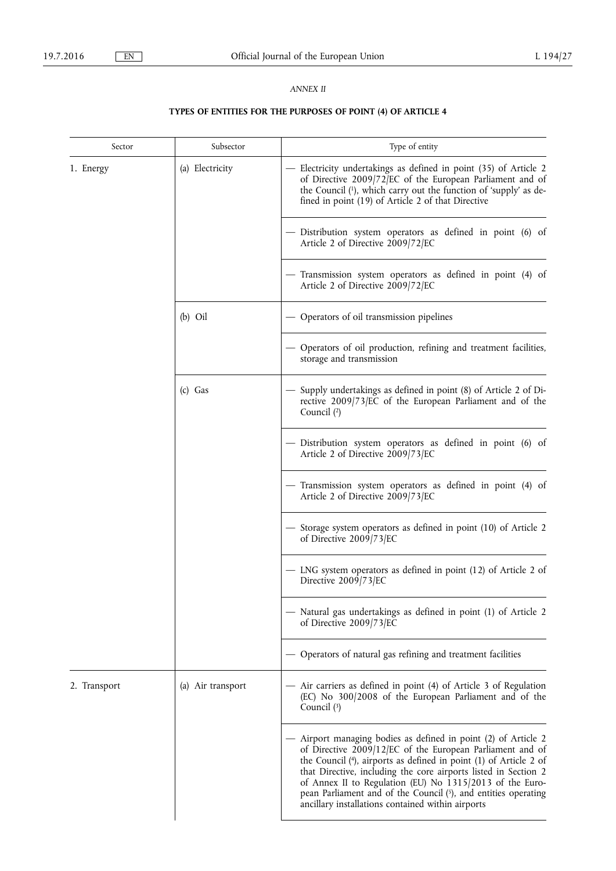# *ANNEX II*

# **TYPES OF ENTITIES FOR THE PURPOSES OF POINT (4) OF ARTICLE 4**

| Sector       | Subsector         | Type of entity                                                                                                                                                                                                                                                                                                                                                                                                                                         |
|--------------|-------------------|--------------------------------------------------------------------------------------------------------------------------------------------------------------------------------------------------------------------------------------------------------------------------------------------------------------------------------------------------------------------------------------------------------------------------------------------------------|
| 1. Energy    | (a) Electricity   | - Electricity undertakings as defined in point (35) of Article 2<br>of Directive 2009/72/EC of the European Parliament and of<br>the Council (1), which carry out the function of 'supply' as de-<br>fined in point (19) of Article 2 of that Directive                                                                                                                                                                                                |
|              |                   | - Distribution system operators as defined in point (6) of<br>Article 2 of Directive 2009/72/EC                                                                                                                                                                                                                                                                                                                                                        |
|              |                   | - Transmission system operators as defined in point (4) of<br>Article 2 of Directive 2009/72/EC                                                                                                                                                                                                                                                                                                                                                        |
|              | $(b)$ Oil         | - Operators of oil transmission pipelines                                                                                                                                                                                                                                                                                                                                                                                                              |
|              |                   | - Operators of oil production, refining and treatment facilities,<br>storage and transmission                                                                                                                                                                                                                                                                                                                                                          |
|              | $(c)$ Gas         | — Supply undertakings as defined in point (8) of Article 2 of Di-<br>rective 2009/73/EC of the European Parliament and of the<br>Council $(2)$                                                                                                                                                                                                                                                                                                         |
|              |                   | - Distribution system operators as defined in point (6) of<br>Article 2 of Directive 2009/73/EC                                                                                                                                                                                                                                                                                                                                                        |
|              |                   | - Transmission system operators as defined in point (4) of<br>Article 2 of Directive 2009/73/EC                                                                                                                                                                                                                                                                                                                                                        |
|              |                   | - Storage system operators as defined in point (10) of Article 2<br>of Directive 2009/73/EC                                                                                                                                                                                                                                                                                                                                                            |
|              |                   | - LNG system operators as defined in point (12) of Article 2 of<br>Directive 2009/73/EC                                                                                                                                                                                                                                                                                                                                                                |
|              |                   | - Natural gas undertakings as defined in point (1) of Article 2<br>of Directive 2009/73/EC                                                                                                                                                                                                                                                                                                                                                             |
|              |                   | - Operators of natural gas refining and treatment facilities                                                                                                                                                                                                                                                                                                                                                                                           |
| 2. Transport | (a) Air transport | - Air carriers as defined in point (4) of Article 3 of Regulation<br>(EC) No 300/2008 of the European Parliament and of the<br>Council $(3)$                                                                                                                                                                                                                                                                                                           |
|              |                   | - Airport managing bodies as defined in point (2) of Article 2<br>of Directive 2009/12/EC of the European Parliament and of<br>the Council (4), airports as defined in point (1) of Article 2 of<br>that Directive, including the core airports listed in Section 2<br>of Annex II to Regulation (EU) No 1315/2013 of the Euro-<br>pean Parliament and of the Council (5), and entities operating<br>ancillary installations contained within airports |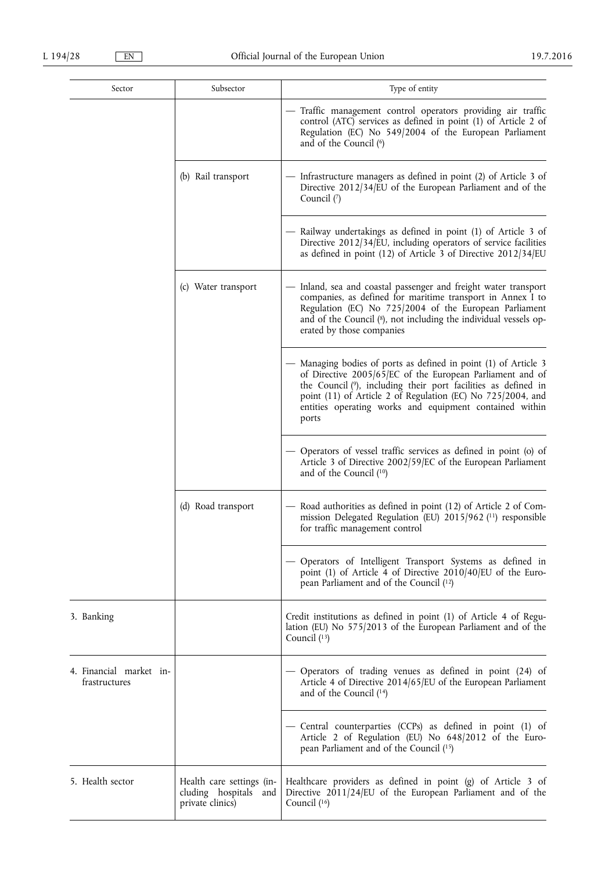| Sector                                   | Subsector                                                              | Type of entity                                                                                                                                                                                                                                                                                                                    |
|------------------------------------------|------------------------------------------------------------------------|-----------------------------------------------------------------------------------------------------------------------------------------------------------------------------------------------------------------------------------------------------------------------------------------------------------------------------------|
|                                          |                                                                        | - Traffic management control operators providing air traffic<br>control (ATC) services as defined in point (1) of Article 2 of<br>Regulation (EC) No 549/2004 of the European Parliament<br>and of the Council (6)                                                                                                                |
|                                          | (b) Rail transport                                                     | - Infrastructure managers as defined in point (2) of Article 3 of<br>Directive 2012/34/EU of the European Parliament and of the<br>Council (7)                                                                                                                                                                                    |
|                                          |                                                                        | - Railway undertakings as defined in point (1) of Article 3 of<br>Directive 2012/34/EU, including operators of service facilities<br>as defined in point (12) of Article 3 of Directive 2012/34/EU                                                                                                                                |
|                                          | (c) Water transport                                                    | - Inland, sea and coastal passenger and freight water transport<br>companies, as defined for maritime transport in Annex I to<br>Regulation (EC) No 725/2004 of the European Parliament<br>and of the Council (8), not including the individual vessels op-<br>erated by those companies                                          |
|                                          |                                                                        | - Managing bodies of ports as defined in point (1) of Article 3<br>of Directive 2005/65/EC of the European Parliament and of<br>the Council (9), including their port facilities as defined in<br>point (11) of Article 2 of Regulation (EC) No 725/2004, and<br>entities operating works and equipment contained within<br>ports |
|                                          |                                                                        | - Operators of vessel traffic services as defined in point (o) of<br>Article 3 of Directive 2002/59/EC of the European Parliament<br>and of the Council (10)                                                                                                                                                                      |
|                                          | (d) Road transport                                                     | - Road authorities as defined in point (12) of Article 2 of Com-<br>mission Delegated Regulation (EU) 2015/962 (11) responsible<br>for traffic management control                                                                                                                                                                 |
|                                          |                                                                        | - Operators of Intelligent Transport Systems as defined in<br>point (1) of Article 4 of Directive 2010/40/EU of the Euro-<br>pean Parliament and of the Council (12)                                                                                                                                                              |
| 3. Banking                               |                                                                        | Credit institutions as defined in point (1) of Article 4 of Regu-<br>lation (EU) No 575/2013 of the European Parliament and of the<br>Council $(13)$                                                                                                                                                                              |
| 4. Financial market in-<br>frastructures |                                                                        | - Operators of trading venues as defined in point (24) of<br>Article 4 of Directive 2014/65/EU of the European Parliament<br>and of the Council $(14)$                                                                                                                                                                            |
|                                          |                                                                        | - Central counterparties (CCPs) as defined in point (1) of<br>Article 2 of Regulation (EU) No 648/2012 of the Euro-<br>pean Parliament and of the Council (15)                                                                                                                                                                    |
| 5. Health sector                         | Health care settings (in-<br>cluding hospitals and<br>private clinics) | Healthcare providers as defined in point (g) of Article 3 of<br>Directive 2011/24/EU of the European Parliament and of the<br>Council $(16)$                                                                                                                                                                                      |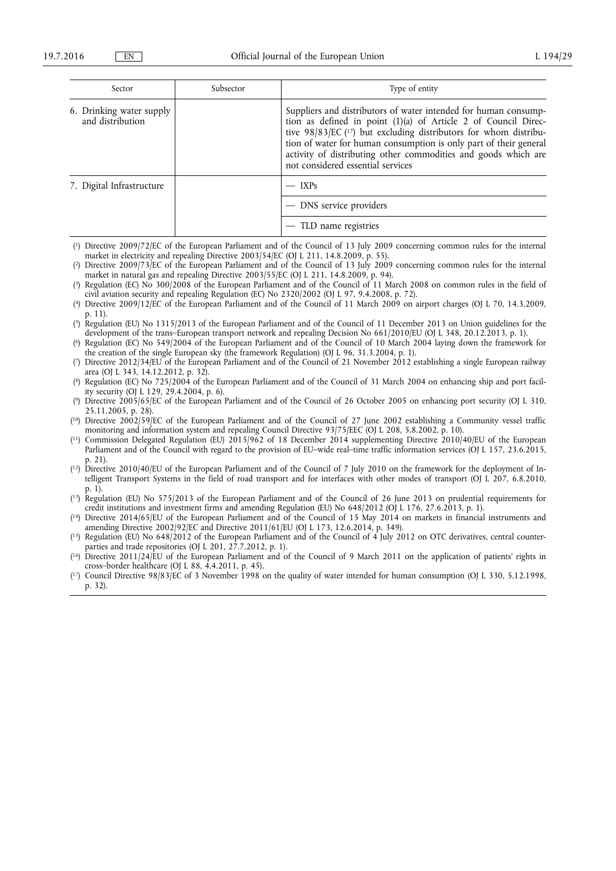| Sector                                       | Subsector | Type of entity                                                                                                                                                                                                                                                                                                                                                                    |
|----------------------------------------------|-----------|-----------------------------------------------------------------------------------------------------------------------------------------------------------------------------------------------------------------------------------------------------------------------------------------------------------------------------------------------------------------------------------|
| 6. Drinking water supply<br>and distribution |           | Suppliers and distributors of water intended for human consump-<br>tion as defined in point (1)(a) of Article 2 of Council Direc-<br>tive 98/83/EC (17) but excluding distributors for whom distribu-<br>tion of water for human consumption is only part of their general<br>activity of distributing other commodities and goods which are<br>not considered essential services |
| 7. Digital Infrastructure                    |           | $-$ IXPs                                                                                                                                                                                                                                                                                                                                                                          |
|                                              |           | - DNS service providers                                                                                                                                                                                                                                                                                                                                                           |
|                                              |           | - TLD name registries                                                                                                                                                                                                                                                                                                                                                             |

( 1) Directive 2009/72/EC of the European Parliament and of the Council of 13 July 2009 concerning common rules for the internal market in electricity and repealing Directive 2003/54/EC (OJ L 211, 14.8.2009, p. 55).

( 2) Directive 2009/73/EC of the European Parliament and of the Council of 13 July 2009 concerning common rules for the internal market in natural gas and repealing Directive 2003/55/EC (OJ L 211, 14.8.2009, p. 94).

( 3) Regulation (EC) No 300/2008 of the European Parliament and of the Council of 11 March 2008 on common rules in the field of civil aviation security and repealing Regulation (EC) No 2320/2002 (OJ L 97, 9.4.2008, p. 72).

- ( 4) Directive 2009/12/EC of the European Parliament and of the Council of 11 March 2009 on airport charges (OJ L 70, 14.3.2009, p. 11).
- ( 5) Regulation (EU) No 1315/2013 of the European Parliament and of the Council of 11 December 2013 on Union guidelines for the development of the trans–European transport network and repealing Decision No 661/2010/EU (OJ L 348, 20.12.2013, p. 1).
- ( 6) Regulation (EC) No 549/2004 of the European Parliament and of the Council of 10 March 2004 laying down the framework for the creation of the single European sky (the framework Regulation) (OJ L 96, 31.3.2004, p. 1).

( 7) Directive 2012/34/EU of the European Parliament and of the Council of 21 November 2012 establishing a single European railway area (OJ L 343, 14.12.2012, p. 32).

- ( 8) Regulation (EC) No 725/2004 of the European Parliament and of the Council of 31 March 2004 on enhancing ship and port facility security (OJ L 129, 29.4.2004, p. 6).
- ( 9) Directive 2005/65/EC of the European Parliament and of the Council of 26 October 2005 on enhancing port security (OJ L 310, 25.11.2005, p. 28).

( 10) Directive 2002/59/EC of the European Parliament and of the Council of 27 June 2002 establishing a Community vessel traffic monitoring and information system and repealing Council Directive 93/75/EEC (OJ L 208, 5.8.2002, p. 10).

- ( 11) Commission Delegated Regulation (EU) 2015/962 of 18 December 2014 supplementing Directive 2010/40/EU of the European Parliament and of the Council with regard to the provision of EU–wide real–time traffic information services (OJ L 157, 23.6.2015, p. 21).
- ( 12) Directive 2010/40/EU of the European Parliament and of the Council of 7 July 2010 on the framework for the deployment of Intelligent Transport Systems in the field of road transport and for interfaces with other modes of transport (OJ L 207, 6.8.2010, p. 1).
- ( 13) Regulation (EU) No 575/2013 of the European Parliament and of the Council of 26 June 2013 on prudential requirements for credit institutions and investment firms and amending Regulation (EU) No 648/2012 (OJ L 176, 27.6.2013, p. 1).
- ( 14) Directive 2014/65/EU of the European Parliament and of the Council of 15 May 2014 on markets in financial instruments and amending Directive 2002/92/EC and Directive 2011/61/EU (OJ L 173, 12.6.2014, p. 349).

( 15) Regulation (EU) No 648/2012 of the European Parliament and of the Council of 4 July 2012 on OTC derivatives, central counterparties and trade repositories (OJ L 201, 27.7.2012, p. 1).

- ( 16) Directive 2011/24/EU of the European Parliament and of the Council of 9 March 2011 on the application of patients' rights in cross–border healthcare (OJ L 88, 4.4.2011, p. 45).
- ( 17) Council Directive 98/83/EC of 3 November 1998 on the quality of water intended for human consumption (OJ L 330, 5.12.1998, p. 32).